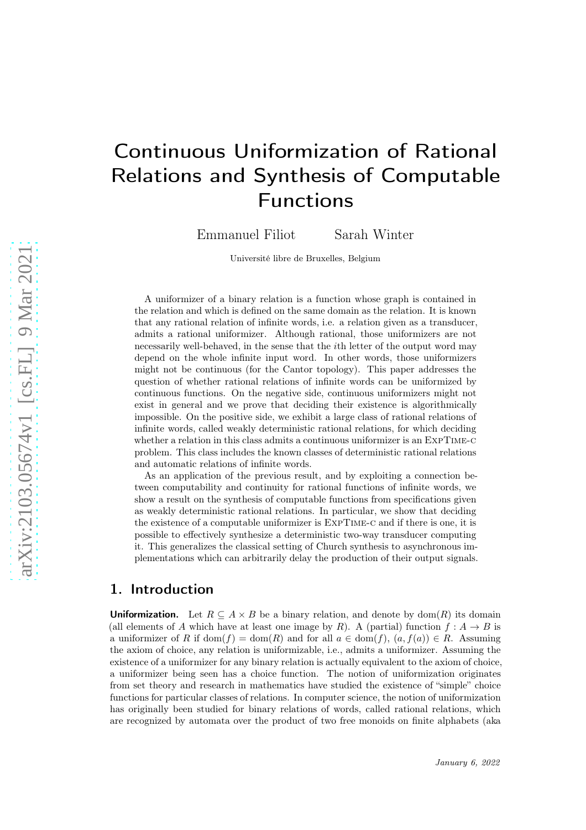# Continuous Uniformization of Rational Relations and Synthesis of Computable Functions

Emmanuel Filiot Sarah Winter

Université libre de Bruxelles, Belgium

A uniformizer of a binary relation is a function whose graph is contained in the relation and which is defined on the same domain as the relation. It is known that any rational relation of infinite words, i.e. a relation given as a transducer, admits a rational uniformizer. Although rational, those uniformizers are not necessarily well-behaved, in the sense that the ith letter of the output word may depend on the whole infinite input word. In other words, those uniformizers might not be continuous (for the Cantor topology). This paper addresses the question of whether rational relations of infinite words can be uniformized by continuous functions. On the negative side, continuous uniformizers might not exist in general and we prove that deciding their existence is algorithmically impossible. On the positive side, we exhibit a large class of rational relations of infinite words, called weakly deterministic rational relations, for which deciding whether a relation in this class admits a continuous uniformizer is an ExpTime-c problem. This class includes the known classes of deterministic rational relations and automatic relations of infinite words.

As an application of the previous result, and by exploiting a connection between computability and continuity for rational functions of infinite words, we show a result on the synthesis of computable functions from specifications given as weakly deterministic rational relations. In particular, we show that deciding the existence of a computable uniformizer is ExpTime-c and if there is one, it is possible to effectively synthesize a deterministic two-way transducer computing it. This generalizes the classical setting of Church synthesis to asynchronous implementations which can arbitrarily delay the production of their output signals.

### 1. Introduction

**Uniformization.** Let  $R \subseteq A \times B$  be a binary relation, and denote by dom(R) its domain (all elements of A which have at least one image by R). A (partial) function  $f : A \rightarrow B$  is a uniformizer of R if  $dom(f) = dom(R)$  and for all  $a \in dom(f)$ ,  $(a, f(a)) \in R$ . Assuming the axiom of choice, any relation is uniformizable, i.e., admits a uniformizer. Assuming the existence of a uniformizer for any binary relation is actually equivalent to the axiom of choice, a uniformizer being seen has a choice function. The notion of uniformization originates from set theory and research in mathematics have studied the existence of "simple" choice functions for particular classes of relations. In computer science, the notion of uniformization has originally been studied for binary relations of words, called rational relations, which are recognized by automata over the product of two free monoids on finite alphabets (aka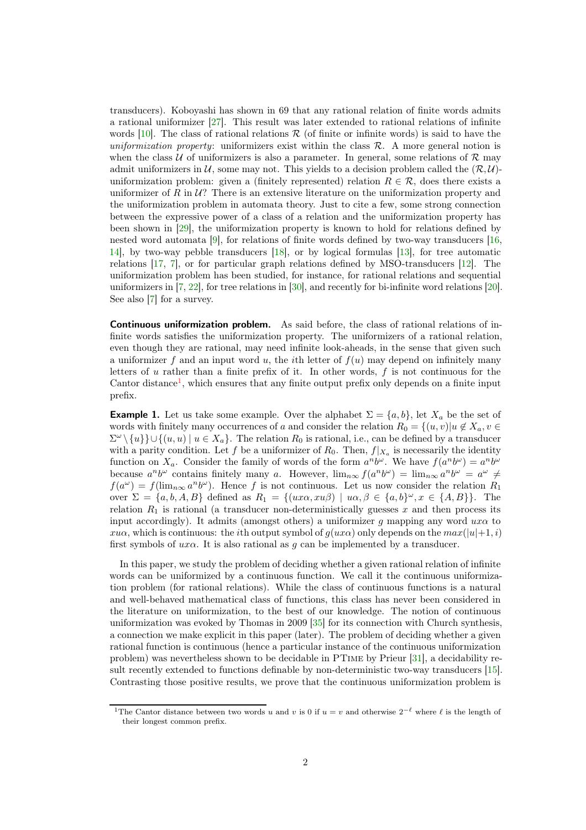transducers). Koboyashi has shown in 69 that any rational relation of finite words admits a rational uniformizer [\[27\]](#page-14-0). This result was later extended to rational relations of infinite words  $[10]$ . The class of rational relations  $\mathcal R$  (of finite or infinite words) is said to have the uniformization property: uniformizers exist within the class  $\mathcal{R}$ . A more general notion is when the class U of uniformizers is also a parameter. In general, some relations of R may admit uniformizers in U, some may not. This yields to a decision problem called the  $(\mathcal{R}, \mathcal{U})$ uniformization problem: given a (finitely represented) relation  $R \in \mathcal{R}$ , does there exists a uniformizer of R in  $\mathcal{U}$ ? There is an extensive literature on the uniformization property and the uniformization problem in automata theory. Just to cite a few, some strong connection between the expressive power of a class of a relation and the uniformization property has been shown in [29], the uniformization property is known to hold for relations defined by nested word automata [9], for relations of finite words defined by two-way transducers [16, 14], by two-way pebble transducers [18], or by logical formulas [13], for tree automatic relations [\[17,](#page-13-0) [7\]](#page-12-1), or for particular graph relations defined by MSO-transducers [12]. The uniformization problem has been studied, for instance, for rational relations and sequential uniformizers in [\[7,](#page-12-1) 22], for tree relations in [30], and recently for bi-infinite word relations [20]. See also [\[7\]](#page-12-1) for a survey.

Continuous uniformization problem. As said before, the class of rational relations of infinite words satisfies the uniformization property. The uniformizers of a rational relation, even though they are rational, may need infinite look-aheads, in the sense that given such a uniformizer f and an input word u, the ith letter of  $f(u)$  may depend on infinitely many letters of  $u$  rather than a finite prefix of it. In other words,  $f$  is not continuous for the Cantor distance<sup>[1](#page-1-0)</sup>, which ensures that any finite output prefix only depends on a finite input prefix.

<span id="page-1-1"></span>**Example 1.** Let us take some example. Over the alphabet  $\Sigma = \{a, b\}$ , let  $X_a$  be the set of words with finitely many occurrences of a and consider the relation  $R_0 = \{(u, v)|u \notin X_a, v \in$  $\Sigma^{\omega} \setminus \{u\} \cup \{(u, u) \mid u \in X_a\}.$  The relation  $R_0$  is rational, i.e., can be defined by a transducer with a parity condition. Let f be a uniformizer of  $R_0$ . Then,  $f|_{X_a}$  is necessarily the identity function on  $X_a$ . Consider the family of words of the form  $a^nb^{\omega}$ . We have  $f(a^nb^{\omega}) = a^nb^{\omega}$ because  $a^n b^\omega$  contains finitely many a. However,  $\lim_{n\infty} f(a^n b^\omega) = \lim_{n\infty} a^n b^\omega = a^\omega \neq$  $f(a^{\omega}) = f(\lim_{n \infty} a^n b^{\omega})$ . Hence f is not continuous. Let us now consider the relation  $R_1$ over  $\Sigma = \{a, b, A, B\}$  defined as  $R_1 = \{(ux\alpha, xu\beta) \mid u\alpha, \beta \in \{a, b\}^\omega, x \in \{A, B\}\}.$  The relation  $R_1$  is rational (a transducer non-deterministically guesses x and then process its input accordingly). It admits (amongst others) a uniformizer g mapping any word  $ux\alpha$  to xua, which is continuous: the *i*th output symbol of  $g(ux\alpha)$  only depends on the  $max(|u|+1, i)$ first symbols of  $ux\alpha$ . It is also rational as g can be implemented by a transducer.

In this paper, we study the problem of deciding whether a given rational relation of infinite words can be uniformized by a continuous function. We call it the continuous uniformization problem (for rational relations). While the class of continuous functions is a natural and well-behaved mathematical class of functions, this class has never been considered in the literature on uniformization, to the best of our knowledge. The notion of continuous uniformization was evoked by Thomas in 2009 [35] for its connection with Church synthesis, a connection we make explicit in this paper (later). The problem of deciding whether a given rational function is continuous (hence a particular instance of the continuous uniformization problem) was nevertheless shown to be decidable in PTime by Prieur [\[31\]](#page-14-1), a decidability result recently extended to functions definable by non-deterministic two-way transducers [15]. Contrasting those positive results, we prove that the continuous uniformization problem is

<span id="page-1-0"></span><sup>&</sup>lt;sup>1</sup>The Cantor distance between two words u and v is 0 if  $u = v$  and otherwise  $2^{-\ell}$  where  $\ell$  is the length of their longest common prefix.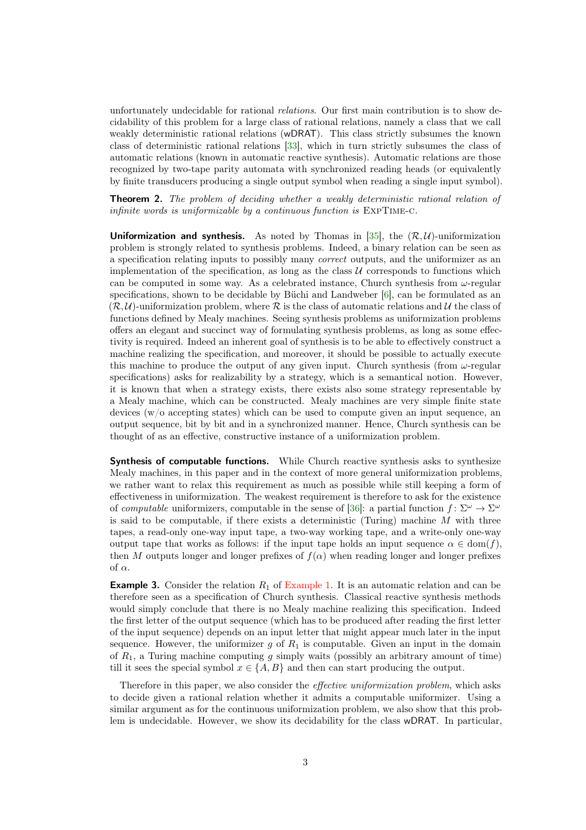unfortunately undecidable for rational relations. Our first main contribution is to show decidability of this problem for a large class of rational relations, namely a class that we call weakly deterministic rational relations (wDRAT). This class strictly subsumes the known class of deterministic rational relations [\[33\]](#page-14-2), which in turn strictly subsumes the class of automatic relations (known in automatic reactive synthesis). Automatic relations are those recognized by two-tape parity automata with synchronized reading heads (or equivalently by finite transducers producing a single output symbol when reading a single input symbol).

<span id="page-2-0"></span>**Theorem 2.** The problem of deciding whether a weakly deterministic rational relation of infinite words is uniformizable by a continuous function is ExpTime-c.

**Uniformization and synthesis.** As noted by Thomas in [35], the  $(\mathcal{R}, \mathcal{U})$ -uniformization problem is strongly related to synthesis problems. Indeed, a binary relation can be seen as a specification relating inputs to possibly many correct outputs, and the uniformizer as an implementation of the specification, as long as the class  $\mathcal U$  corresponds to functions which can be computed in some way. As a celebrated instance, Church synthesis from  $\omega$ -regular specifications, shown to be decidable by Büchi and Landweber [\[6\]](#page-12-2), can be formulated as an  $(\mathcal{R}, \mathcal{U})$ -uniformization problem, where  $\mathcal{R}$  is the class of automatic relations and  $\mathcal{U}$  the class of functions defined by Mealy machines. Seeing synthesis problems as uniformization problems offers an elegant and succinct way of formulating synthesis problems, as long as some effectivity is required. Indeed an inherent goal of synthesis is to be able to effectively construct a machine realizing the specification, and moreover, it should be possible to actually execute this machine to produce the output of any given input. Church synthesis (from  $\omega$ -regular specifications) asks for realizability by a strategy, which is a semantical notion. However, it is known that when a strategy exists, there exists also some strategy representable by a Mealy machine, which can be constructed. Mealy machines are very simple finite state devices (w/o accepting states) which can be used to compute given an input sequence, an output sequence, bit by bit and in a synchronized manner. Hence, Church synthesis can be thought of as an effective, constructive instance of a uniformization problem.

Synthesis of computable functions. While Church reactive synthesis asks to synthesize Mealy machines, in this paper and in the context of more general uniformization problems, we rather want to relax this requirement as much as possible while still keeping a form of effectiveness in uniformization. The weakest requirement is therefore to ask for the existence of computable uniformizers, computable in the sense of [\[36\]](#page-14-3): a partial function  $f: \Sigma^{\omega} \to \Sigma^{\omega}$ is said to be computable, if there exists a deterministic (Turing) machine  $M$  with three tapes, a read-only one-way input tape, a two-way working tape, and a write-only one-way output tape that works as follows: if the input tape holds an input sequence  $\alpha \in \text{dom}(f)$ , then M outputs longer and longer prefixes of  $f(\alpha)$  when reading longer and longer prefixes of α.

**Example 3.** Consider the relation  $R_1$  of [Example 1.](#page-1-1) It is an automatic relation and can be therefore seen as a specification of Church synthesis. Classical reactive synthesis methods would simply conclude that there is no Mealy machine realizing this specification. Indeed the first letter of the output sequence (which has to be produced after reading the first letter of the input sequence) depends on an input letter that might appear much later in the input sequence. However, the uniformizer g of  $R_1$  is computable. Given an input in the domain of  $R_1$ , a Turing machine computing g simply waits (possibly an arbitrary amount of time) till it sees the special symbol  $x \in \{A, B\}$  and then can start producing the output.

Therefore in this paper, we also consider the *effective uniformization problem*, which asks to decide given a rational relation whether it admits a computable uniformizer. Using a similar argument as for the continuous uniformization problem, we also show that this problem is undecidable. However, we show its decidability for the class wDRAT. In particular,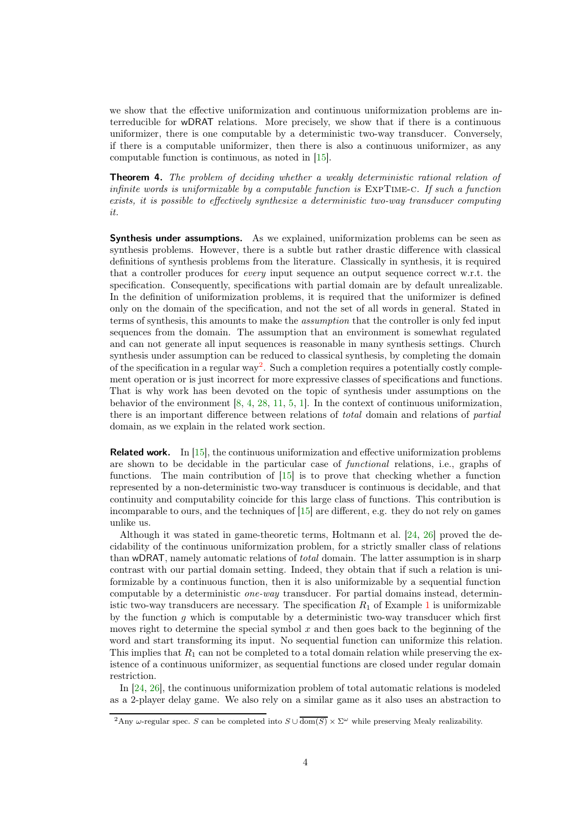we show that the effective uniformization and continuous uniformization problems are interreducible for wDRAT relations. More precisely, we show that if there is a continuous uniformizer, there is one computable by a deterministic two-way transducer. Conversely, if there is a computable uniformizer, then there is also a continuous uniformizer, as any computable function is continuous, as noted in [15].

<span id="page-3-1"></span>**Theorem 4.** The problem of deciding whether a weakly deterministic rational relation of infinite words is uniformizable by a computable function is ExpTime-c. If such a function exists, it is possible to effectively synthesize a deterministic two-way transducer computing it.

Synthesis under assumptions. As we explained, uniformization problems can be seen as synthesis problems. However, there is a subtle but rather drastic difference with classical definitions of synthesis problems from the literature. Classically in synthesis, it is required that a controller produces for every input sequence an output sequence correct w.r.t. the specification. Consequently, specifications with partial domain are by default unrealizable. In the definition of uniformization problems, it is required that the uniformizer is defined only on the domain of the specification, and not the set of all words in general. Stated in terms of synthesis, this amounts to make the assumption that the controller is only fed input sequences from the domain. The assumption that an environment is somewhat regulated and can not generate all input sequences is reasonable in many synthesis settings. Church synthesis under assumption can be reduced to classical synthesis, by completing the domain of the specification in a regular way<sup>[2](#page-3-0)</sup>. Such a completion requires a potentially costly complement operation or is just incorrect for more expressive classes of specifications and functions. That is why work has been devoted on the topic of synthesis under assumptions on the behavior of the environment  $[8, 4, 28, 11, 5, 1]$  $[8, 4, 28, 11, 5, 1]$ . In the context of continuous uniformization, there is an important difference between relations of total domain and relations of partial domain, as we explain in the related work section.

Related work. In [15], the continuous uniformization and effective uniformization problems are shown to be decidable in the particular case of functional relations, i.e., graphs of functions. The main contribution of [15] is to prove that checking whether a function represented by a non-deterministic two-way transducer is continuous is decidable, and that continuity and computability coincide for this large class of functions. This contribution is incomparable to ours, and the techniques of [15] are different, e.g. they do not rely on games unlike us.

Although it was stated in game-theoretic terms, Holtmann et al. [\[24,](#page-13-1) 26] proved the decidability of the continuous uniformization problem, for a strictly smaller class of relations than wDRAT, namely automatic relations of total domain. The latter assumption is in sharp contrast with our partial domain setting. Indeed, they obtain that if such a relation is uniformizable by a continuous function, then it is also uniformizable by a sequential function computable by a deterministic one-way transducer. For partial domains instead, deterministic two-way transducers are necessary. The specification  $R_1$  $R_1$  of Example 1 is uniformizable by the function  $q$  which is computable by a deterministic two-way transducer which first moves right to determine the special symbol  $x$  and then goes back to the beginning of the word and start transforming its input. No sequential function can uniformize this relation. This implies that  $R_1$  can not be completed to a total domain relation while preserving the existence of a continuous uniformizer, as sequential functions are closed under regular domain restriction.

In [\[24,](#page-13-1) 26], the continuous uniformization problem of total automatic relations is modeled as a 2-player delay game. We also rely on a similar game as it also uses an abstraction to

<span id="page-3-0"></span><sup>&</sup>lt;sup>2</sup>Any ω-regular spec. S can be completed into  $S \cup \overline{\text{dom}(S)} \times \Sigma^\omega$  while preserving Mealy realizability.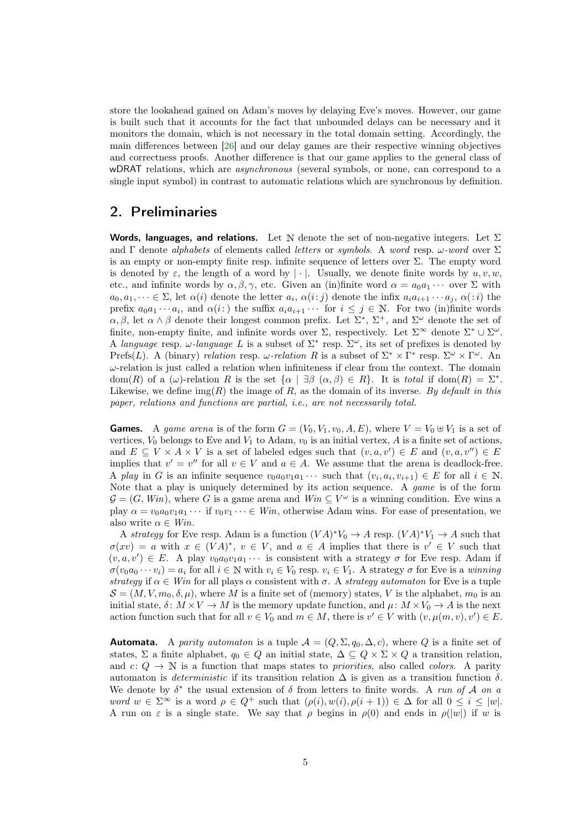store the lookahead gained on Adam's moves by delaying Eve's moves. However, our game is built such that it accounts for the fact that unbounded delays can be necessary and it monitors the domain, which is not necessary in the total domain setting. Accordingly, the main differences between [26] and our delay games are their respective winning objectives and correctness proofs. Another difference is that our game applies to the general class of wDRAT relations, which are *asynchronous* (several symbols, or none, can correspond to a single input symbol) in contrast to automatic relations which are synchronous by definition.

# <span id="page-4-0"></span>2. Preliminaries

Words, languages, and relations. Let N denote the set of non-negative integers. Let  $\Sigma$ and Γ denote *alphabets* of elements called *letters* or *symbols*. A word resp.  $\omega$ -word over  $\Sigma$ is an empty or non-empty finite resp. infinite sequence of letters over  $\Sigma$ . The empty word is denoted by  $\varepsilon$ , the length of a word by  $|\cdot|$ . Usually, we denote finite words by  $u, v, w$ , etc., and infinite words by  $\alpha, \beta, \gamma$ , etc. Given an (in)finite word  $\alpha = a_0 a_1 \cdots$  over  $\Sigma$  with  $a_0, a_1, \dots \in \Sigma$ , let  $\alpha(i)$  denote the letter  $a_i, \alpha(i:j)$  denote the infix  $a_i a_{i+1} \cdots a_j, \alpha(i)$  the prefix  $a_0a_1\cdots a_i$ , and  $\alpha(i)$  the suffix  $a_ia_{i+1}\cdots$  for  $i\leq j\in\mathbb{N}$ . For two (in)finite words  $\alpha, \beta$ , let  $\alpha \wedge \beta$  denote their longest common prefix. Let  $\Sigma^*$ ,  $\Sigma^+$ , and  $\Sigma^{\omega}$  denote the set of finite, non-empty finite, and infinite words over  $\Sigma$ , respectively. Let  $\Sigma^{\infty}$  denote  $\Sigma^* \cup \Sigma^{\omega}$ . A language resp.  $\omega$ -language L is a subset of  $\Sigma^*$  resp.  $\Sigma^{\omega}$ , its set of prefixes is denoted by Prefs(L). A (binary) relation resp.  $\omega$ -relation R is a subset of  $\Sigma^* \times \Gamma^*$  resp.  $\Sigma^{\omega} \times \Gamma^{\omega}$ . An  $\omega$ -relation is just called a relation when infiniteness if clear from the context. The domain dom(R) of a  $(\omega)$ -relation R is the set  $\{\alpha \mid \exists \beta \ (\alpha, \beta) \in R\}$ . It is total if dom(R) =  $\Sigma^*$ . Likewise, we define  $\text{img}(R)$  the image of R, as the domain of its inverse. By default in this paper, relations and functions are partial, i.e., are not necessarily total.

**Games.** A game arena is of the form  $G = (V_0, V_1, v_0, A, E)$ , where  $V = V_0 \oplus V_1$  is a set of vertices,  $V_0$  belongs to Eve and  $V_1$  to Adam,  $v_0$  is an initial vertex, A is a finite set of actions, and  $E \subseteq V \times A \times V$  is a set of labeled edges such that  $(v, a, v') \in E$  and  $(v, a, v'') \in E$ implies that  $v' = v''$  for all  $v \in V$  and  $a \in A$ . We assume that the arena is deadlock-free. A play in G is an infinite sequence  $v_0a_0v_1a_1\cdots$  such that  $(v_i, a_i, v_{i+1}) \in E$  for all  $i \in \mathbb{N}$ . Note that a play is uniquely determined by its action sequence. A game is of the form  $\mathcal{G} = (G, Win)$ , where G is a game arena and  $Win \subseteq V^{\omega}$  is a winning condition. Eve wins a play  $\alpha = v_0 a_0 v_1 a_1 \cdots$  if  $v_0 v_1 \cdots \in W$ *in*, otherwise Adam wins. For ease of presentation, we also write  $\alpha \in W$ *in*.

A strategy for Eve resp. Adam is a function  $(VA)^*V_0 \to A$  resp.  $(VA)^*V_1 \to A$  such that  $\sigma(xv) = a$  with  $x \in (VA)^*, v \in V$ , and  $a \in A$  implies that there is  $v' \in V$  such that  $(v, a, v') \in E$ . A play  $v_0 a_0 v_1 a_1 \cdots$  is consistent with a strategy  $\sigma$  for Eve resp. Adam if  $\sigma(v_0a_0\cdots v_i)=a_i$  for all  $i\in\mathbb{N}$  with  $v_i\in V_0$  resp.  $v_i\in V_1$ . A strategy  $\sigma$  for Eve is a winning strategy if  $\alpha \in Win$  for all plays  $\alpha$  consistent with  $\sigma$ . A strategy automator for Eve is a tuple  $S = (M, V, m_0, \delta, \mu)$ , where M is a finite set of (memory) states, V is the alphabet,  $m_0$  is an initial state,  $\delta: M \times V \to M$  is the memory update function, and  $\mu: M \times V_0 \to A$  is the next action function such that for all  $v \in V_0$  and  $m \in M$ , there is  $v' \in V$  with  $(v, \mu(m, v), v') \in E$ .

**Automata.** A parity automaton is a tuple  $\mathcal{A} = (Q, \Sigma, q_0, \Delta, c)$ , where Q is a finite set of states,  $\Sigma$  a finite alphabet,  $q_0 \in Q$  an initial state,  $\Delta \subseteq Q \times \Sigma \times Q$  a transition relation, and  $c: Q \to \mathbb{N}$  is a function that maps states to *priorities*, also called *colors*. A parity automaton is *deterministic* if its transition relation  $\Delta$  is given as a transition function δ. We denote by  $\delta^*$  the usual extension of  $\delta$  from letters to finite words. A run of A on a word  $w \in \Sigma^{\infty}$  is a word  $\rho \in Q^+$  such that  $(\rho(i), w(i), \rho(i+1)) \in \Delta$  for all  $0 \leq i \leq |w|$ . A run on  $\varepsilon$  is a single state. We say that  $\rho$  begins in  $\rho(0)$  and ends in  $\rho(|w|)$  if w is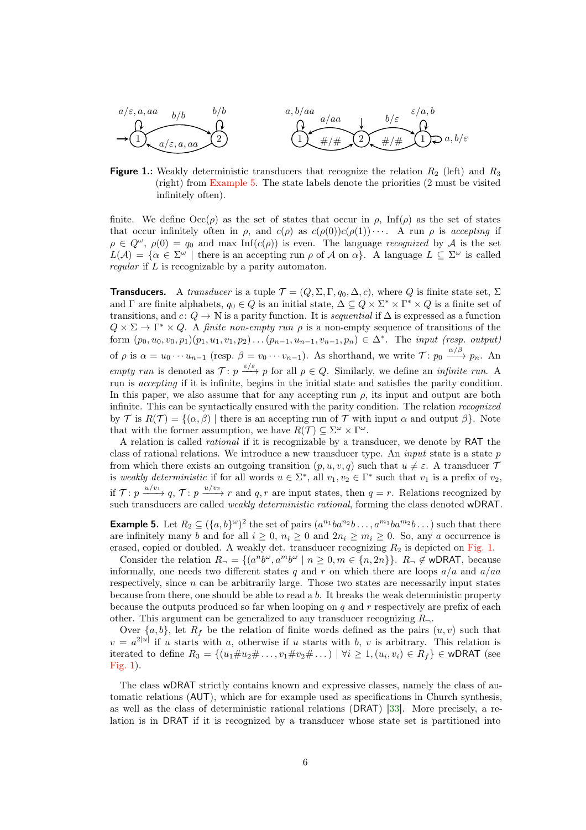<span id="page-5-1"></span>

**Figure 1.:** Weakly deterministic transducers that recognize the relation  $R_2$  (left) and  $R_3$ (right) from [Example 5.](#page-5-0) The state labels denote the priorities (2 must be visited infinitely often).

finite. We define  $\text{Occ}(\rho)$  as the set of states that occur in  $\rho$ , Inf( $\rho$ ) as the set of states that occur infinitely often in  $\rho$ , and  $c(\rho)$  as  $c(\rho(0))c(\rho(1))\cdots$ . A run  $\rho$  is accepting if  $\rho \in Q^{\omega}$ ,  $\rho(0) = q_0$  and max Inf(c(p)) is even. The language recognized by A is the set  $L(\mathcal{A}) = \{ \alpha \in \Sigma^{\omega} \mid \text{there is an accepting run } \rho \text{ of } \mathcal{A} \text{ on } \alpha \}.$  A language  $L \subseteq \Sigma^{\omega}$  is called regular if L is recognizable by a parity automaton.

**Transducers.** A transducer is a tuple  $\mathcal{T} = (Q, \Sigma, \Gamma, q_0, \Delta, c)$ , where Q is finite state set,  $\Sigma$ and  $\Gamma$  are finite alphabets,  $q_0 \in Q$  is an initial state,  $\Delta \subseteq Q \times \Sigma^* \times \Gamma^* \times Q$  is a finite set of transitions, and  $c: Q \to \mathbb{N}$  is a parity function. It is *sequential* if  $\Delta$  is expressed as a function  $Q \times \Sigma \to \Gamma^* \times Q$ . A finite non-empty run  $\rho$  is a non-empty sequence of transitions of the form  $(p_0, u_0, v_0, p_1)(p_1, u_1, v_1, p_2) \dots (p_{n-1}, u_{n-1}, v_{n-1}, p_n) \in \Delta^*$ . The *input (resp. output)* of  $\rho$  is  $\alpha = u_0 \cdots u_{n-1}$  (resp.  $\beta = v_0 \cdots v_{n-1}$ ). As shorthand, we write  $\mathcal{T}$ :  $p_0 \xrightarrow{\alpha/\beta} p_n$ . An empty run is denoted as  $\mathcal{T}: p \stackrel{\varepsilon/\varepsilon}{\longrightarrow} p$  for all  $p \in Q$ . Similarly, we define an *infinite run*. A run is accepting if it is infinite, begins in the initial state and satisfies the parity condition. In this paper, we also assume that for any accepting run  $\rho$ , its input and output are both infinite. This can be syntactically ensured with the parity condition. The relation recognized by T is  $R(\mathcal{T}) = \{(\alpha, \beta) \mid \text{there is an accepting run of } \mathcal{T} \text{ with input } \alpha \text{ and output } \beta\}.$  Note that with the former assumption, we have  $R(\mathcal{T}) \subseteq \Sigma^{\omega} \times \Gamma^{\omega}$ .

A relation is called rational if it is recognizable by a transducer, we denote by RAT the class of rational relations. We introduce a new transducer type. An *input* state is a state  $p$ from which there exists an outgoing transition  $(p, u, v, q)$  such that  $u \neq \varepsilon$ . A transducer  $\mathcal T$ is weakly deterministic if for all words  $u \in \Sigma^*$ , all  $v_1, v_2 \in \Gamma^*$  such that  $v_1$  is a prefix of  $v_2$ , if  $\mathcal{T}: p \xrightarrow{u/v_1} q$ ,  $\mathcal{T}: p \xrightarrow{u/v_2} r$  and  $q, r$  are input states, then  $q = r$ . Relations recognized by such transducers are called weakly deterministic rational, forming the class denoted wDRAT.

<span id="page-5-0"></span>**Example 5.** Let  $R_2 \subseteq (\{a,b\}^{\omega})^2$  the set of pairs  $(a^{n_1}ba^{n_2}b \ldots, a^{m_1}ba^{m_2}b \ldots)$  such that there are infinitely many b and for all  $i \geq 0$ ,  $n_i \geq 0$  and  $2n_i \geq m_i \geq 0$ . So, any a occurrence is erased, copied or doubled. A weakly det. transducer recognizing  $R_2$  is depicted on [Fig. 1.](#page-5-1)

Consider the relation  $R_{\neg} = \{(a^n b^{\omega}, a^m b^{\omega} \mid n \geq 0, m \in \{n, 2n\}\}\.$   $R_{\neg} \notin \text{wDRAT}$ , because informally, one needs two different states q and r on which there are loops  $a/a$  and  $a/aa$ respectively, since  $n$  can be arbitrarily large. Those two states are necessarily input states because from there, one should be able to read a  $b$ . It breaks the weak deterministic property because the outputs produced so far when looping on  $q$  and  $r$  respectively are prefix of each other. This argument can be generalized to any transducer recognizing  $R_{\neg}$ .

Over  $\{a, b\}$ , let  $R_f$  be the relation of finite words defined as the pairs  $(u, v)$  such that  $v = a^{2|u|}$  if u starts with a, otherwise if u starts with b, v is arbitrary. This relation is iterated to define  $R_3 = \{(u_1 \# u_2 \# \dots, v_1 \# v_2 \# \dots) \mid \forall i \geq 1, (u_i, v_i) \in R_f\} \in \text{wDRAT}$  (see [Fig. 1\)](#page-5-1).

The class wDRAT strictly contains known and expressive classes, namely the class of automatic relations (AUT), which are for example used as specifications in Church synthesis, as well as the class of deterministic rational relations (DRAT) [\[33\]](#page-14-2). More precisely, a relation is in DRAT if it is recognized by a transducer whose state set is partitioned into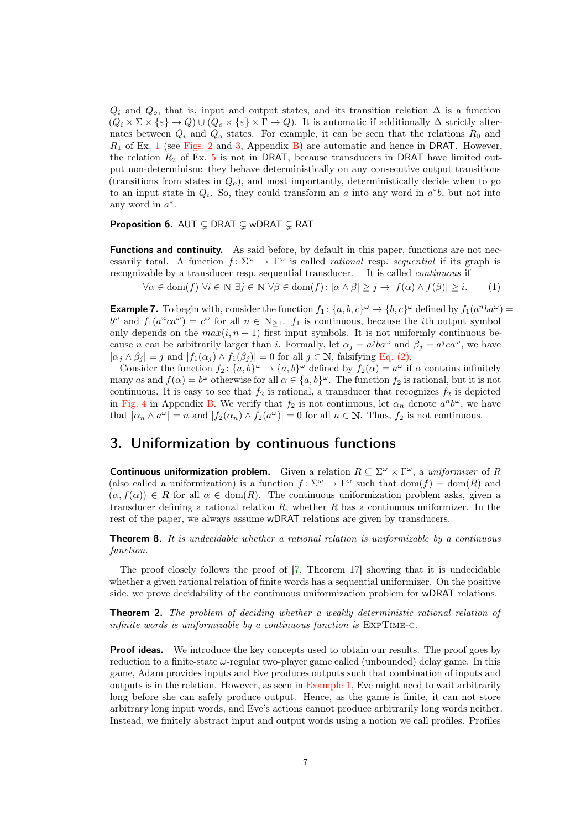$Q_i$  and  $Q_o$ , that is, input and output states, and its transition relation  $\Delta$  is a function  $(Q_i \times \Sigma \times \{\varepsilon\} \to Q) \cup (Q_o \times \{\varepsilon\} \times \Gamma \to Q)$ . It is automatic if additionally  $\Delta$  strictly alternates between  $Q_i$  and  $Q_o$  states. For example, it can be seen that the relations  $R_0$  and  $R_1$  $R_1$  of Ex. 1 (see [Figs. 2](#page-15-0) and [3,](#page-16-0) Appendix [B\)](#page-15-1) are automatic and hence in DRAT. However, the relation  $R_2$  of Ex. [5](#page-5-0) is not in DRAT, because transducers in DRAT have limited output non-determinism: they behave deterministically on any consecutive output transitions (transitions from states in  $Q<sub>o</sub>$ ), and most importantly, deterministically decide when to go to an input state in  $Q_i$ . So, they could transform an a into any word in  $a^*b$ , but not into any word in  $a^*$ .

### **Proposition 6.** AUT  $\subseteq$  DRAT  $\subseteq$  wDRAT  $\subseteq$  RAT

Functions and continuity. As said before, by default in this paper, functions are not necessarily total. A function  $f: \Sigma^{\omega} \to \Gamma^{\omega}$  is called *rational* resp. sequential if its graph is recognizable by a transducer resp. sequential transducer. It is called continuous if

<span id="page-6-1"></span> $\forall \alpha \in \text{dom}(f) \ \forall i \in \mathbb{N} \ \exists j \in \mathbb{N} \ \forall \beta \in \text{dom}(f) : |\alpha \wedge \beta| > j \rightarrow |f(\alpha) \wedge f(\beta)| > i.$  (1)

<span id="page-6-0"></span>**Example 7.** To begin with, consider the function  $f_1$ :  $\{a, b, c\}^{\omega} \to \{b, c\}^{\omega}$  defined by  $f_1(a^nba^{\omega}) =$  $b^{\omega}$  and  $f_1(a^nca^{\omega}) = c^{\omega}$  for all  $n \in \mathbb{N}_{\geq 1}$ .  $f_1$  is continuous, because the *i*th output symbol only depends on the  $max(i, n + 1)$  first input symbols. It is not uniformly continuous because *n* can be arbitrarily larger than *i*. Formally, let  $\alpha_j = a^jba^{\omega}$  and  $\beta_j = a^jca^{\omega}$ , we have  $|\alpha_j \wedge \beta_j| = j$  and  $|f_1(\alpha_j) \wedge f_1(\beta_j)| = 0$  for all  $j \in \mathbb{N}$ , falsifying [Eq. \(2\).](#page-11-0)

Consider the function  $f_2$ :  $\{a, b\}^\omega \to \{a, b\}^\omega$  defined by  $f_2(\alpha) = a^\omega$  if  $\alpha$  contains infinitely many as and  $f(\alpha) = b^{\omega}$  otherwise for all  $\alpha \in \{a, b\}^{\omega}$ . The function  $f_2$  is rational, but it is not continuous. It is easy to see that  $f_2$  is rational, a transducer that recognizes  $f_2$  is depicted in [Fig. 4](#page-16-1) in Appendix [B.](#page-15-1) We verify that  $f_2$  is not continuous, let  $\alpha_n$  denote  $a^n b^{\omega}$ , we have that  $|\alpha_n \wedge a^{\omega}| = n$  and  $|f_2(\alpha_n) \wedge f_2(a^{\omega})| = 0$  for all  $n \in \mathbb{N}$ . Thus,  $f_2$  is not continuous.

# <span id="page-6-2"></span>3. Uniformization by continuous functions

**Continuous uniformization problem.** Given a relation  $R \subseteq \Sigma^{\omega} \times \Gamma^{\omega}$ , a uniformizer of R (also called a uniformization) is a function  $f: \Sigma^{\omega} \to \Gamma^{\omega}$  such that  $dom(f) = dom(R)$  and  $(\alpha, f(\alpha)) \in R$  for all  $\alpha \in \text{dom}(R)$ . The continuous uniformization problem asks, given a transducer defining a rational relation  $R$ , whether  $R$  has a continuous uniformizer. In the rest of the paper, we always assume wDRAT relations are given by transducers.

<span id="page-6-3"></span>**Theorem 8.** It is undecidable whether a rational relation is uniformizable by a continuous function.

The proof closely follows the proof of [\[7,](#page-12-1) Theorem 17] showing that it is undecidable whether a given rational relation of finite words has a sequential uniformizer. On the positive side, we prove decidability of the continuous uniformization problem for wDRAT relations.

Theorem 2. The problem of deciding whether a weakly deterministic rational relation of infinite words is uniformizable by a continuous function is ExpTime-c.

**Proof ideas.** We introduce the key concepts used to obtain our results. The proof goes by reduction to a finite-state  $\omega$ -regular two-player game called (unbounded) delay game. In this game, Adam provides inputs and Eve produces outputs such that combination of inputs and outputs is in the relation. However, as seen in [Example 1,](#page-1-1) Eve might need to wait arbitrarily long before she can safely produce output. Hence, as the game is finite, it can not store arbitrary long input words, and Eve's actions cannot produce arbitrarily long words neither. Instead, we finitely abstract input and output words using a notion we call profiles. Profiles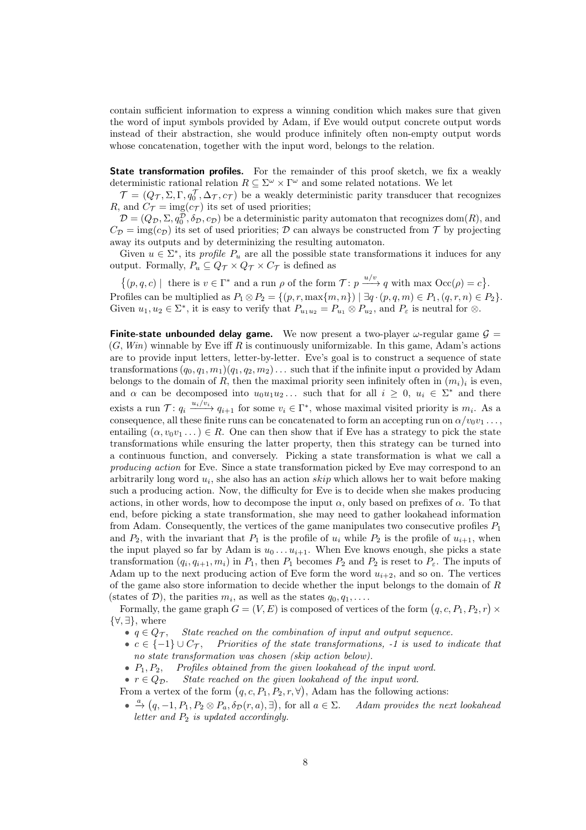contain sufficient information to express a winning condition which makes sure that given the word of input symbols provided by Adam, if Eve would output concrete output words instead of their abstraction, she would produce infinitely often non-empty output words whose concatenation, together with the input word, belongs to the relation.

**State transformation profiles.** For the remainder of this proof sketch, we fix a weakly deterministic rational relation  $R \subseteq \Sigma^{\omega} \times \Gamma^{\omega}$  and some related notations. We let

 $\mathcal{T} = (Q_{\mathcal{T}}, \Sigma, \Gamma, q_0^{\mathcal{T}}, \Delta_{\mathcal{T}}, c_{\mathcal{T}})$  be a weakly deterministic parity transducer that recognizes R, and  $C_{\mathcal{T}} = \text{img}(c_{\mathcal{T}})$  its set of used priorities;

 $D=(Q_{\mathcal{D}}, \Sigma, q_0^{\mathcal{D}}, \delta_{\mathcal{D}}, c_{\mathcal{D}})$  be a deterministic parity automaton that recognizes dom(R), and  $C_{\mathcal{D}} = \text{img}(c_{\mathcal{D}})$  its set of used priorities;  $\mathcal{D}$  can always be constructed from  $\mathcal{T}$  by projecting away its outputs and by determinizing the resulting automaton.

Given  $u \in \Sigma^*$ , its *profile*  $P_u$  are all the possible state transformations it induces for any output. Formally,  $P_u \subseteq Q_T \times Q_T \times C_T$  is defined as

 $\{(p,q,c) \mid \text{ there is } v \in \Gamma^* \text{ and a run } \rho \text{ of the form } \mathcal{T} : p \xrightarrow{u/v} q \text{ with max } \mathrm{Occ}(\rho) = c \}.$ Profiles can be multiplied as  $P_1 \otimes P_2 = \{(p, r, \max\{m, n\}) \mid \exists q \cdot (p, q, m) \in P_1, (q, r, n) \in P_2\}.$ Given  $u_1, u_2 \in \Sigma^*$ , it is easy to verify that  $P_{u_1u_2} = P_{u_1} \otimes P_{u_2}$ , and  $P_{\varepsilon}$  is neutral for  $\otimes$ .

<span id="page-7-0"></span>**Finite-state unbounded delay game.** We now present a two-player  $\omega$ -regular game  $\mathcal{G} =$  $(G, Win)$  winnable by Eve iff R is continuously uniformizable. In this game, Adam's actions are to provide input letters, letter-by-letter. Eve's goal is to construct a sequence of state transformations  $(q_0, q_1, m_1)(q_1, q_2, m_2) \dots$  such that if the infinite input  $\alpha$  provided by Adam belongs to the domain of R, then the maximal priority seen infinitely often in  $(m_i)_i$  is even, and  $\alpha$  can be decomposed into  $u_0u_1u_2...$  such that for all  $i \geq 0$ ,  $u_i \in \Sigma^*$  and there exists a run  $\mathcal{T}: q_i \xrightarrow{u_i/v_i} q_{i+1}$  for some  $v_i \in \Gamma^*$ , whose maximal visited priority is  $m_i$ . As a consequence, all these finite runs can be concatenated to form an accepting run on  $\alpha/v_0v_1 \ldots$ , entailing  $(\alpha, v_0v_1 \dots) \in R$ . One can then show that if Eve has a strategy to pick the state transformations while ensuring the latter property, then this strategy can be turned into a continuous function, and conversely. Picking a state transformation is what we call a producing action for Eve. Since a state transformation picked by Eve may correspond to an arbitrarily long word  $u_i$ , she also has an action  $skip$  which allows her to wait before making such a producing action. Now, the difficulty for Eve is to decide when she makes producing actions, in other words, how to decompose the input  $\alpha$ , only based on prefixes of  $\alpha$ . To that end, before picking a state transformation, she may need to gather lookahead information from Adam. Consequently, the vertices of the game manipulates two consecutive profiles  $P_1$ and  $P_2$ , with the invariant that  $P_1$  is the profile of  $u_i$  while  $P_2$  is the profile of  $u_{i+1}$ , when the input played so far by Adam is  $u_0 \ldots u_{i+1}$ . When Eve knows enough, she picks a state transformation  $(q_i, q_{i+1}, m_i)$  in  $P_1$ , then  $P_1$  becomes  $P_2$  and  $P_2$  is reset to  $P_{\varepsilon}$ . The inputs of Adam up to the next producing action of Eve form the word  $u_{i+2}$ , and so on. The vertices of the game also store information to decide whether the input belongs to the domain of R (states of  $D$ ), the parities  $m_i$ , as well as the states  $q_0, q_1, \ldots$ .

Formally, the game graph  $G = (V, E)$  is composed of vertices of the form  $(q, c, P_1, P_2, r) \times$ {∀, ∃}, where

- $q \in Q_{\mathcal{T}}$ , State reached on the combination of input and output sequence.
- $c \in \{-1\} \cup C_{\mathcal{T}}$ , Priorities of the state transformations, -1 is used to indicate that no state transformation was chosen (skip action below).
- $P_1, P_2,$  Profiles obtained from the given lookahead of the input word.
- $r \in Q_{\mathcal{D}}$ . State reached on the given lookahead of the input word.

From a vertex of the form  $(q, c, P_1, P_2, r, \forall)$ , Adam has the following actions:

 $\bullet \stackrel{a}{\rightarrow} (q, -1, P_1, P_2 \otimes P_a, \delta_{\mathcal{D}}(r, a), \exists),$  for all  $a \in \Sigma$ . Adam provides the next lookahead letter and  $P_2$  is updated accordingly.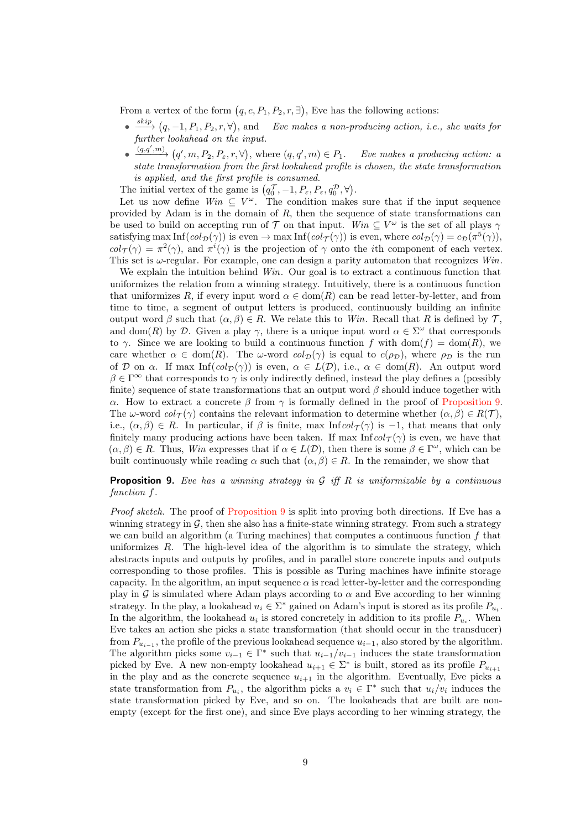From a vertex of the form  $(q, c, P_1, P_2, r, \exists)$ , Eve has the following actions:

- $\bullet \xrightarrow{skip} (q, -1, P_1, P_2, r, \forall),$  and Eve makes a non-producing action, i.e., she waits for further lookahead on the input.
- $\bullet$   $\xrightarrow{(q,q',m)} (q',m,P_2,P_\varepsilon,r,\forall),$  where  $(q,q',m) \in P_1$ . Eve makes a producing action: a state transformation from the first lookahead profile is chosen, the state transformation is applied, and the first profile is consumed.

The initial vertex of the game is  $(q_0^{\mathcal{T}}, -1, P_{\varepsilon}, P_{\varepsilon}, q_0^{\mathcal{D}}, \forall).$ 

Let us now define  $Win \subseteq V^{\omega}$ . The condition makes sure that if the input sequence provided by Adam is in the domain of  $R$ , then the sequence of state transformations can be used to build on accepting run of T on that input. Win  $\subseteq V^{\omega}$  is the set of all plays  $\gamma$ satisfying max  $\text{Inf}(col_{\mathcal{D}}(\gamma))$  is even  $\to$  max  $\text{Inf}(col_{\mathcal{T}}(\gamma))$  is even, where  $col_{\mathcal{D}}(\gamma) = c_{\mathcal{D}}(\pi^5(\gamma)),$  $col_{\mathcal{T}}(\gamma) = \pi^2(\gamma)$ , and  $\pi^i(\gamma)$  is the projection of  $\gamma$  onto the *i*th component of each vertex. This set is  $\omega$ -regular. For example, one can design a parity automaton that recognizes  $Win$ .

We explain the intuition behind *Win*. Our goal is to extract a continuous function that uniformizes the relation from a winning strategy. Intuitively, there is a continuous function that uniformizes R, if every input word  $\alpha \in \text{dom}(R)$  can be read letter-by-letter, and from time to time, a segment of output letters is produced, continuously building an infinite output word  $\beta$  such that  $(\alpha, \beta) \in R$ . We relate this to Win. Recall that R is defined by T, and dom(R) by D. Given a play  $\gamma$ , there is a unique input word  $\alpha \in \Sigma^{\omega}$  that corresponds to  $\gamma$ . Since we are looking to build a continuous function f with dom(f) = dom(R), we care whether  $\alpha \in \text{dom}(R)$ . The  $\omega$ -word  $\text{col}_{\mathcal{D}}(\gamma)$  is equal to  $c(\rho_{\mathcal{D}})$ , where  $\rho_{\mathcal{D}}$  is the run of D on  $\alpha$ . If max Inf(col $\mathcal{D}(\gamma)$ ) is even,  $\alpha \in L(\mathcal{D})$ , i.e.,  $\alpha \in \text{dom}(R)$ . An output word  $\beta \in \Gamma^\infty$  that corresponds to  $\gamma$  is only indirectly defined, instead the play defines a (possibly finite) sequence of state transformations that an output word  $\beta$  should induce together with α. How to extract a concrete β from  $\gamma$  is formally defined in the proof of [Proposition 9.](#page-8-0) The  $\omega$ -word  $col_{\mathcal{T}}(\gamma)$  contains the relevant information to determine whether  $(\alpha, \beta) \in R(\mathcal{T})$ , i.e.,  $(\alpha, \beta) \in R$ . In particular, if  $\beta$  is finite, max Infcol $\tau(\gamma)$  is -1, that means that only finitely many producing actions have been taken. If max Inf $col_{\mathcal{T}}(\gamma)$  is even, we have that  $(\alpha, \beta) \in R$ . Thus, Win expresses that if  $\alpha \in L(\mathcal{D})$ , then there is some  $\beta \in \Gamma^{\omega}$ , which can be built continuously while reading  $\alpha$  such that  $(\alpha, \beta) \in R$ . In the remainder, we show that

### <span id="page-8-0"></span>**Proposition 9.** Eve has a winning strategy in  $G$  iff  $R$  is uniformizable by a continuous function f.

Proof sketch. The proof of [Proposition 9](#page-8-0) is split into proving both directions. If Eve has a winning strategy in  $\mathcal{G}$ , then she also has a finite-state winning strategy. From such a strategy we can build an algorithm (a Turing machines) that computes a continuous function  $f$  that uniformizes  $R$ . The high-level idea of the algorithm is to simulate the strategy, which abstracts inputs and outputs by profiles, and in parallel store concrete inputs and outputs corresponding to those profiles. This is possible as Turing machines have infinite storage capacity. In the algorithm, an input sequence  $\alpha$  is read letter-by-letter and the corresponding play in G is simulated where Adam plays according to  $\alpha$  and Eve according to her winning strategy. In the play, a lookahead  $u_i \in \Sigma^*$  gained on Adam's input is stored as its profile  $P_{u_i}$ . In the algorithm, the lookahead  $u_i$  is stored concretely in addition to its profile  $P_{u_i}$ . When Eve takes an action she picks a state transformation (that should occur in the transducer) from  $P_{u_{i-1}}$ , the profile of the previous lookahead sequence  $u_{i-1}$ , also stored by the algorithm. The algorithm picks some  $v_{i-1} \in \Gamma^*$  such that  $u_{i-1}/v_{i-1}$  induces the state transformation picked by Eve. A new non-empty lookahead  $u_{i+1} \in \Sigma^*$  is built, stored as its profile  $P_{u_{i+1}}$ in the play and as the concrete sequence  $u_{i+1}$  in the algorithm. Eventually, Eve picks a state transformation from  $P_{u_i}$ , the algorithm picks a  $v_i \in \Gamma^*$  such that  $u_i/v_i$  induces the state transformation picked by Eve, and so on. The lookaheads that are built are nonempty (except for the first one), and since Eve plays according to her winning strategy, the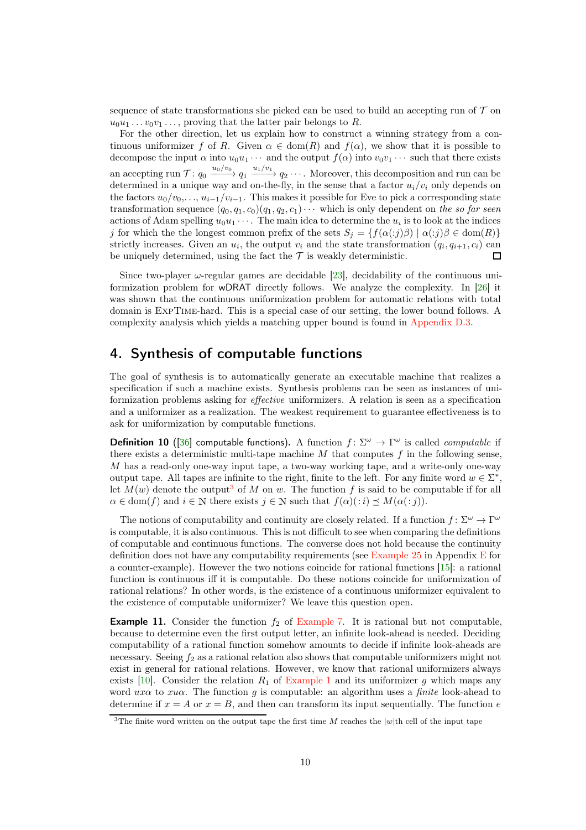sequence of state transformations she picked can be used to build an accepting run of  $\mathcal T$  on  $u_0u_1 \ldots v_0v_1 \ldots$ , proving that the latter pair belongs to R.

For the other direction, let us explain how to construct a winning strategy from a continuous uniformizer f of R. Given  $\alpha \in \text{dom}(R)$  and  $f(\alpha)$ , we show that it is possible to decompose the input  $\alpha$  into  $u_0u_1 \cdots$  and the output  $f(\alpha)$  into  $v_0v_1 \cdots$  such that there exists an accepting run  $\mathcal{T}: q_0 \xrightarrow{u_0/v_0} q_1 \xrightarrow{u_1/v_1} q_2 \cdots$ . Moreover, this decomposition and run can be determined in a unique way and on-the-fly, in the sense that a factor  $u_i/v_i$  only depends on the factors  $u_0/v_0, \ldots, u_{i-1}/v_{i-1}$ . This makes it possible for Eve to pick a corresponding state transformation sequence  $(q_0, q_1, c_0)(q_1, q_2, c_1)\cdots$  which is only dependent on the so far seen actions of Adam spelling  $u_0u_1 \cdots$ . The main idea to determine the  $u_i$  is to look at the indices j for which the the longest common prefix of the sets  $S_j = \{f(\alpha(:,j)\beta) | \alpha(:,j)\beta \in \text{dom}(R)\}\$ strictly increases. Given an  $u_i$ , the output  $v_i$  and the state transformation  $(q_i, q_{i+1}, c_i)$  can be uniquely determined, using the fact the  $\mathcal T$  is weakly deterministic. П

Since two-player  $\omega$ -regular games are decidable [\[23\]](#page-13-2), decidability of the continuous uniformization problem for wDRAT directly follows. We analyze the complexity. In [26] it was shown that the continuous uniformization problem for automatic relations with total domain is ExpTime-hard. This is a special case of our setting, the lower bound follows. A complexity analysis which yields a matching upper bound is found in [Appendix D.3.](#page-21-0)

# <span id="page-9-2"></span>4. Synthesis of computable functions

The goal of synthesis is to automatically generate an executable machine that realizes a specification if such a machine exists. Synthesis problems can be seen as instances of uniformization problems asking for effective uniformizers. A relation is seen as a specification and a uniformizer as a realization. The weakest requirement to guarantee effectiveness is to ask for uniformization by computable functions.

<span id="page-9-1"></span>**Definition 10** ([\[36\]](#page-14-3) computable functions). A function  $f: \Sigma^{\omega} \to \Gamma^{\omega}$  is called *computable* if there exists a deterministic multi-tape machine  $M$  that computes  $f$  in the following sense, M has a read-only one-way input tape, a two-way working tape, and a write-only one-way output tape. All tapes are infinite to the right, finite to the left. For any finite word  $w \in \Sigma^*$ , let  $M(w)$  denote the output<sup>[3](#page-9-0)</sup> of M on w. The function f is said to be computable if for all  $\alpha \in \text{dom}(f)$  and  $i \in \mathbb{N}$  there exists  $j \in \mathbb{N}$  such that  $f(\alpha)(:i) \preceq M(\alpha(:,j)).$ 

The notions of computability and continuity are closely related. If a function  $f: \Sigma^{\omega} \to \Gamma^{\omega}$ is computable, it is also continuous. This is not difficult to see when comparing the definitions of computable and continuous functions. The converse does not hold because the continuity definition does not have any computability requirements (see [Example 25](#page-22-0) in Appendix [E](#page-22-1) for a counter-example). However the two notions coincide for rational functions [15]: a rational function is continuous iff it is computable. Do these notions coincide for uniformization of rational relations? In other words, is the existence of a continuous uniformizer equivalent to the existence of computable uniformizer? We leave this question open.

**Example 11.** Consider the function  $f_2$  of [Example 7.](#page-6-0) It is rational but not computable, because to determine even the first output letter, an infinite look-ahead is needed. Deciding computability of a rational function somehow amounts to decide if infinite look-aheads are necessary. Seeing  $f_2$  as a rational relation also shows that computable uniformizers might not exist in general for rational relations. However, we know that rational uniformizers always exists [\[10\]](#page-12-0). Consider the relation  $R_1$  of [Example 1](#page-1-1) and its uniformizer g which maps any word  $ux\alpha$  to  $xu\alpha$ . The function g is computable: an algorithm uses a finite look-ahead to determine if  $x = A$  or  $x = B$ , and then can transform its input sequentially. The function e

<span id="page-9-0"></span><sup>&</sup>lt;sup>3</sup>The finite word written on the output tape the first time M reaches the  $|w|$ th cell of the input tape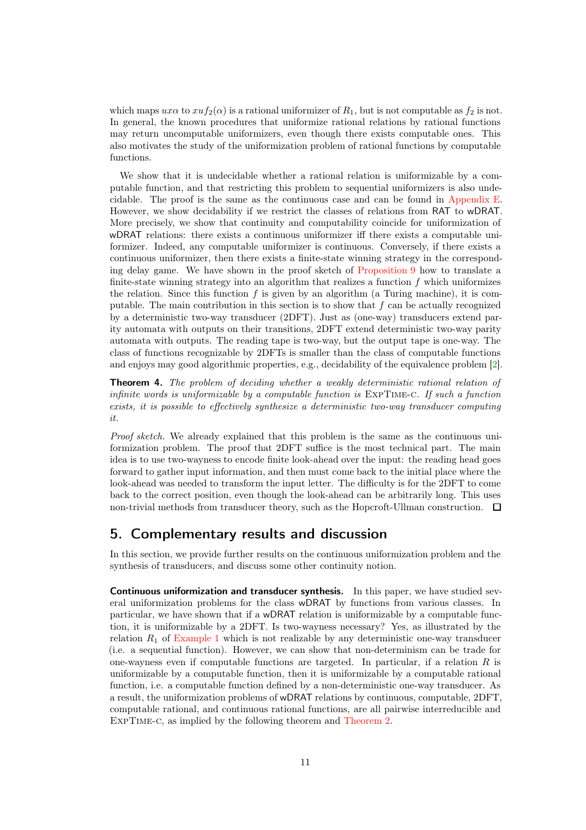which maps  $ux\alpha$  to  $xuf_2(\alpha)$  is a rational uniformizer of  $R_1$ , but is not computable as  $f_2$  is not. In general, the known procedures that uniformize rational relations by rational functions may return uncomputable uniformizers, even though there exists computable ones. This also motivates the study of the uniformization problem of rational functions by computable functions.

We show that it is undecidable whether a rational relation is uniformizable by a computable function, and that restricting this problem to sequential uniformizers is also undecidable. The proof is the same as the continuous case and can be found in [Appendix E.](#page-22-1) However, we show decidability if we restrict the classes of relations from RAT to wDRAT. More precisely, we show that continuity and computability coincide for uniformization of wDRAT relations: there exists a continuous uniformizer iff there exists a computable uniformizer. Indeed, any computable uniformizer is continuous. Conversely, if there exists a continuous uniformizer, then there exists a finite-state winning strategy in the corresponding delay game. We have shown in the proof sketch of [Proposition 9](#page-8-0) how to translate a finite-state winning strategy into an algorithm that realizes a function  $f$  which uniformizes the relation. Since this function  $f$  is given by an algorithm (a Turing machine), it is computable. The main contribution in this section is to show that  $f$  can be actually recognized by a deterministic two-way transducer (2DFT). Just as (one-way) transducers extend parity automata with outputs on their transitions, 2DFT extend deterministic two-way parity automata with outputs. The reading tape is two-way, but the output tape is one-way. The class of functions recognizable by 2DFTs is smaller than the class of computable functions and enjoys may good algorithmic properties, e.g., decidability of the equivalence problem [\[2\]](#page-12-4).

**Theorem 4.** The problem of deciding whether a weakly deterministic rational relation of infinite words is uniformizable by a computable function is ExpTime-c. If such a function exists, it is possible to effectively synthesize a deterministic two-way transducer computing it.

Proof sketch. We already explained that this problem is the same as the continuous uniformization problem. The proof that 2DFT suffice is the most technical part. The main idea is to use two-wayness to encode finite look-ahead over the input: the reading head goes forward to gather input information, and then must come back to the initial place where the look-ahead was needed to transform the input letter. The difficulty is for the 2DFT to come back to the correct position, even though the look-ahead can be arbitrarily long. This uses non-trivial methods from transducer theory, such as the Hopcroft-Ullman construction.  $\Box$ 

# <span id="page-10-0"></span>5. Complementary results and discussion

In this section, we provide further results on the continuous uniformization problem and the synthesis of transducers, and discuss some other continuity notion.

Continuous uniformization and transducer synthesis. In this paper, we have studied several uniformization problems for the class wDRAT by functions from various classes. In particular, we have shown that if a wDRAT relation is uniformizable by a computable function, it is uniformizable by a 2DFT. Is two-wayness necessary? Yes, as illustrated by the relation  $R_1$  of [Example 1](#page-1-1) which is not realizable by any deterministic one-way transducer (i.e. a sequential function). However, we can show that non-determinism can be trade for one-wayness even if computable functions are targeted. In particular, if a relation  $R$  is uniformizable by a computable function, then it is uniformizable by a computable rational function, i.e. a computable function defined by a non-deterministic one-way transducer. As a result, the uniformization problems of wDRAT relations by continuous, computable, 2DFT, computable rational, and continuous rational functions, are all pairwise interreducible and ExpTime-c, as implied by the following theorem and [Theorem 2.](#page-2-0)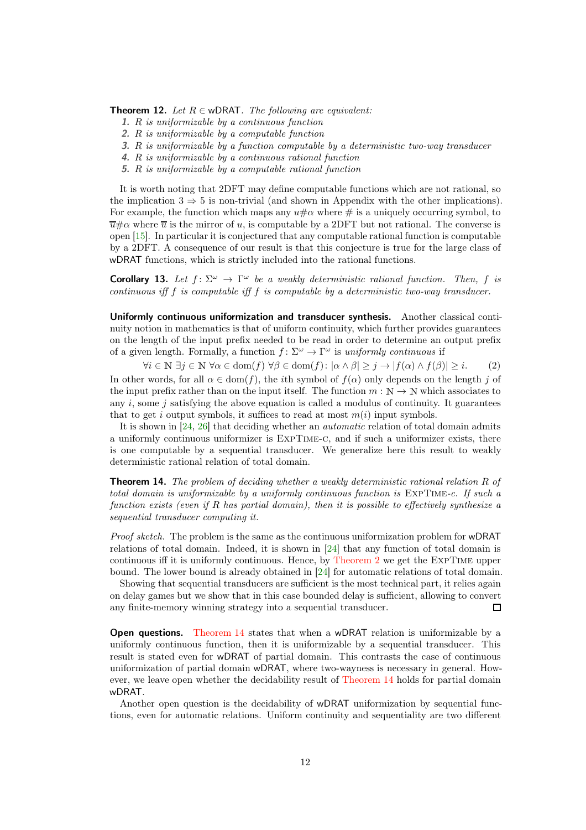**Theorem 12.** Let  $R \in \text{wDRAT}$ . The following are equivalent:

- 1. R is uniformizable by a continuous function
- 2. R is uniformizable by a computable function
- 3. R is uniformizable by a function computable by a deterministic two-way transducer
- 4. R is uniformizable by a continuous rational function
- 5. R is uniformizable by a computable rational function

It is worth noting that 2DFT may define computable functions which are not rational, so the implication  $3 \Rightarrow 5$  is non-trivial (and shown in Appendix with the other implications). For example, the function which maps any  $u \# \alpha$  where # is a uniquely occurring symbol, to  $\overline{u}\# \alpha$  where  $\overline{u}$  is the mirror of u, is computable by a 2DFT but not rational. The converse is open [15]. In particular it is conjectured that any computable rational function is computable by a 2DFT. A consequence of our result is that this conjecture is true for the large class of wDRAT functions, which is strictly included into the rational functions.

**Corollary 13.** Let  $f: \Sigma^{\omega} \to \Gamma^{\omega}$  be a weakly deterministic rational function. Then, f is continuous iff f is computable iff f is computable by a deterministic two-way transducer.

Uniformly continuous uniformization and transducer synthesis. Another classical continuity notion in mathematics is that of uniform continuity, which further provides guarantees on the length of the input prefix needed to be read in order to determine an output prefix of a given length. Formally, a function  $f: \Sigma^{\omega} \to \Gamma^{\omega}$  is uniformly continuous if

<span id="page-11-0"></span> $\forall i \in \mathbb{N} \exists j \in \mathbb{N} \ \forall \alpha \in \text{dom}(f) \ \forall \beta \in \text{dom}(f) : |\alpha \wedge \beta| \geq j \rightarrow |f(\alpha) \wedge f(\beta)| \geq i.$  (2)

In other words, for all  $\alpha \in \text{dom}(f)$ , the *i*th symbol of  $f(\alpha)$  only depends on the length j of the input prefix rather than on the input itself. The function  $m : \mathbb{N} \to \mathbb{N}$  which associates to any  $i$ , some  $j$  satisfying the above equation is called a modulus of continuity. It guarantees that to get i output symbols, it suffices to read at most  $m(i)$  input symbols.

It is shown in [\[24,](#page-13-1) 26] that deciding whether an automatic relation of total domain admits a uniformly continuous uniformizer is ExpTime-c, and if such a uniformizer exists, there is one computable by a sequential transducer. We generalize here this result to weakly deterministic rational relation of total domain.

<span id="page-11-1"></span>**Theorem 14.** The problem of deciding whether a weakly deterministic rational relation  $R$  of total domain is uniformizable by a uniformly continuous function is ExpTime-c. If such a function exists (even if R has partial domain), then it is possible to effectively synthesize a sequential transducer computing it.

Proof sketch. The problem is the same as the continuous uniformization problem for wDRAT relations of total domain. Indeed, it is shown in [\[24\]](#page-13-1) that any function of total domain is continuous iff it is uniformly continuous. Hence, by [Theorem 2](#page-2-0) we get the ExpTime upper bound. The lower bound is already obtained in [\[24\]](#page-13-1) for automatic relations of total domain.

Showing that sequential transducers are sufficient is the most technical part, it relies again on delay games but we show that in this case bounded delay is sufficient, allowing to convert any finite-memory winning strategy into a sequential transducer.  $\Box$ 

**Open questions.** [Theorem 14](#page-11-1) states that when a wDRAT relation is uniformizable by a uniformly continuous function, then it is uniformizable by a sequential transducer. This result is stated even for wDRAT of partial domain. This contrasts the case of continuous uniformization of partial domain wDRAT, where two-wayness is necessary in general. However, we leave open whether the decidability result of [Theorem 14](#page-11-1) holds for partial domain wDRAT.

Another open question is the decidability of wDRAT uniformization by sequential functions, even for automatic relations. Uniform continuity and sequentiality are two different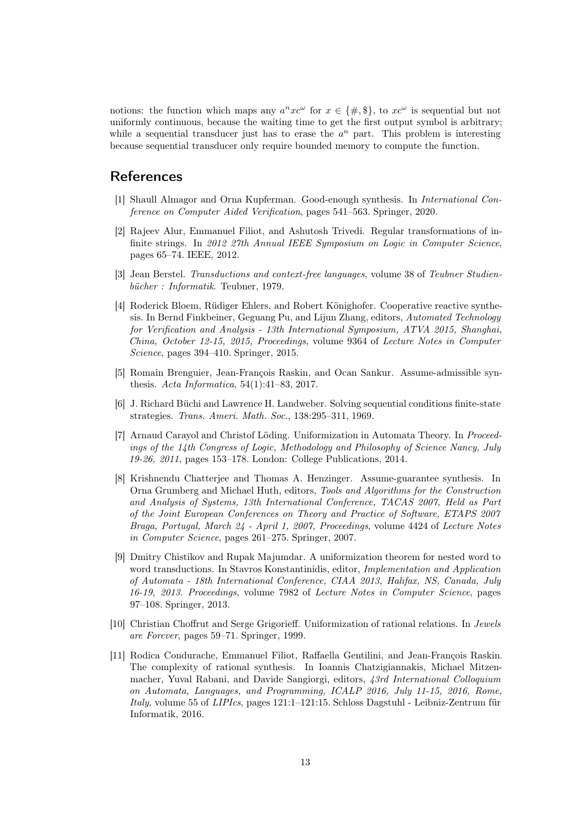notions: the function which maps any  $a^n x c^{\omega}$  for  $x \in \{\#, \$\}$ , to  $x c^{\omega}$  is sequential but not uniformly continuous, because the waiting time to get the first output symbol is arbitrary; while a sequential transducer just has to erase the  $a^n$  part. This problem is interesting because sequential transducer only require bounded memory to compute the function.

### <span id="page-12-3"></span>References

- <span id="page-12-4"></span>[1] Shaull Almagor and Orna Kupferman. Good-enough synthesis. In International Conference on Computer Aided Verification, pages 541–563. Springer, 2020.
- [2] Rajeev Alur, Emmanuel Filiot, and Ashutosh Trivedi. Regular transformations of infinite strings. In 2012 27th Annual IEEE Symposium on Logic in Computer Science, pages 65–74. IEEE, 2012.
- [3] Jean Berstel. Transductions and context-free languages, volume 38 of Teubner Studienbücher : Informatik. Teubner, 1979.
- [4] Roderick Bloem, Rüdiger Ehlers, and Robert Könighofer. Cooperative reactive synthesis. In Bernd Finkbeiner, Geguang Pu, and Lijun Zhang, editors, Automated Technology for Verification and Analysis - 13th International Symposium, ATVA 2015, Shanghai, China, October 12-15, 2015, Proceedings, volume 9364 of Lecture Notes in Computer Science, pages 394–410. Springer, 2015.
- [5] Romain Brenguier, Jean-François Raskin, and Ocan Sankur. Assume-admissible synthesis. Acta Informatica, 54(1):41–83, 2017.
- <span id="page-12-2"></span>[6] J. Richard Büchi and Lawrence H. Landweber. Solving sequential conditions finite-state strategies. Trans. Ameri. Math. Soc., 138:295–311, 1969.
- <span id="page-12-1"></span>[7] Arnaud Carayol and Christof Löding. Uniformization in Automata Theory. In Proceedings of the 14th Congress of Logic, Methodology and Philosophy of Science Nancy, July 19-26, 2011, pages 153–178. London: College Publications, 2014.
- [8] Krishnendu Chatterjee and Thomas A. Henzinger. Assume-guarantee synthesis. In Orna Grumberg and Michael Huth, editors, Tools and Algorithms for the Construction and Analysis of Systems, 13th International Conference, TACAS 2007, Held as Part of the Joint European Conferences on Theory and Practice of Software, ETAPS 2007 Braga, Portugal, March 24 - April 1, 2007, Proceedings, volume 4424 of Lecture Notes in Computer Science, pages 261–275. Springer, 2007.
- [9] Dmitry Chistikov and Rupak Majumdar. A uniformization theorem for nested word to word transductions. In Stavros Konstantinidis, editor, Implementation and Application of Automata - 18th International Conference, CIAA 2013, Halifax, NS, Canada, July 16-19, 2013. Proceedings, volume 7982 of Lecture Notes in Computer Science, pages 97–108. Springer, 2013.
- <span id="page-12-0"></span>[10] Christian Choffrut and Serge Grigorieff. Uniformization of rational relations. In Jewels are Forever, pages 59–71. Springer, 1999.
- [11] Rodica Condurache, Emmanuel Filiot, Raffaella Gentilini, and Jean-François Raskin. The complexity of rational synthesis. In Ioannis Chatzigiannakis, Michael Mitzenmacher, Yuval Rabani, and Davide Sangiorgi, editors, 43rd International Colloquium on Automata, Languages, and Programming, ICALP 2016, July 11-15, 2016, Rome, Italy, volume 55 of LIPIcs, pages 121:1–121:15. Schloss Dagstuhl - Leibniz-Zentrum für Informatik, 2016.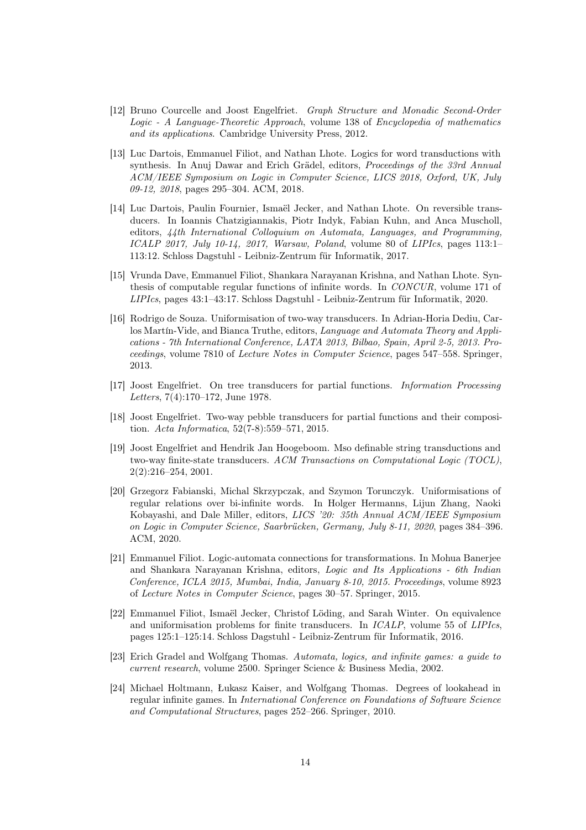- [12] Bruno Courcelle and Joost Engelfriet. Graph Structure and Monadic Second-Order Logic - A Language-Theoretic Approach, volume 138 of Encyclopedia of mathematics and its applications. Cambridge University Press, 2012.
- [13] Luc Dartois, Emmanuel Filiot, and Nathan Lhote. Logics for word transductions with synthesis. In Anuj Dawar and Erich Grädel, editors, Proceedings of the 33rd Annual ACM/IEEE Symposium on Logic in Computer Science, LICS 2018, Oxford, UK, July 09-12, 2018, pages 295–304. ACM, 2018.
- [14] Luc Dartois, Paulin Fournier, Ismaël Jecker, and Nathan Lhote. On reversible transducers. In Ioannis Chatzigiannakis, Piotr Indyk, Fabian Kuhn, and Anca Muscholl, editors, 44th International Colloquium on Automata, Languages, and Programming, ICALP 2017, July 10-14, 2017, Warsaw, Poland, volume 80 of LIPIcs, pages 113:1– 113:12. Schloss Dagstuhl - Leibniz-Zentrum für Informatik, 2017.
- [15] Vrunda Dave, Emmanuel Filiot, Shankara Narayanan Krishna, and Nathan Lhote. Synthesis of computable regular functions of infinite words. In CONCUR, volume 171 of LIPIcs, pages 43:1–43:17. Schloss Dagstuhl - Leibniz-Zentrum für Informatik, 2020.
- [16] Rodrigo de Souza. Uniformisation of two-way transducers. In Adrian-Horia Dediu, Carlos Martín-Vide, and Bianca Truthe, editors, Language and Automata Theory and Applications - 7th International Conference, LATA 2013, Bilbao, Spain, April 2-5, 2013. Proceedings, volume 7810 of Lecture Notes in Computer Science, pages 547–558. Springer, 2013.
- <span id="page-13-0"></span>[17] Joost Engelfriet. On tree transducers for partial functions. Information Processing Letters, 7(4):170–172, June 1978.
- [18] Joost Engelfriet. Two-way pebble transducers for partial functions and their composition. Acta Informatica, 52(7-8):559–571, 2015.
- <span id="page-13-3"></span>[19] Joost Engelfriet and Hendrik Jan Hoogeboom. Mso definable string transductions and two-way finite-state transducers. ACM Transactions on Computational Logic (TOCL), 2(2):216–254, 2001.
- [20] Grzegorz Fabianski, Michal Skrzypczak, and Szymon Torunczyk. Uniformisations of regular relations over bi-infinite words. In Holger Hermanns, Lijun Zhang, Naoki Kobayashi, and Dale Miller, editors, LICS '20: 35th Annual ACM/IEEE Symposium on Logic in Computer Science, Saarbrücken, Germany, July 8-11, 2020, pages 384–396. ACM, 2020.
- [21] Emmanuel Filiot. Logic-automata connections for transformations. In Mohua Banerjee and Shankara Narayanan Krishna, editors, Logic and Its Applications - 6th Indian Conference, ICLA 2015, Mumbai, India, January 8-10, 2015. Proceedings, volume 8923 of Lecture Notes in Computer Science, pages 30–57. Springer, 2015.
- [22] Emmanuel Filiot, Ismaël Jecker, Christof Löding, and Sarah Winter. On equivalence and uniformisation problems for finite transducers. In ICALP, volume 55 of LIPIcs, pages 125:1–125:14. Schloss Dagstuhl - Leibniz-Zentrum für Informatik, 2016.
- <span id="page-13-2"></span>[23] Erich Gradel and Wolfgang Thomas. Automata, logics, and infinite games: a guide to current research, volume 2500. Springer Science & Business Media, 2002.
- <span id="page-13-1"></span>[24] Michael Holtmann, Łukasz Kaiser, and Wolfgang Thomas. Degrees of lookahead in regular infinite games. In International Conference on Foundations of Software Science and Computational Structures, pages 252–266. Springer, 2010.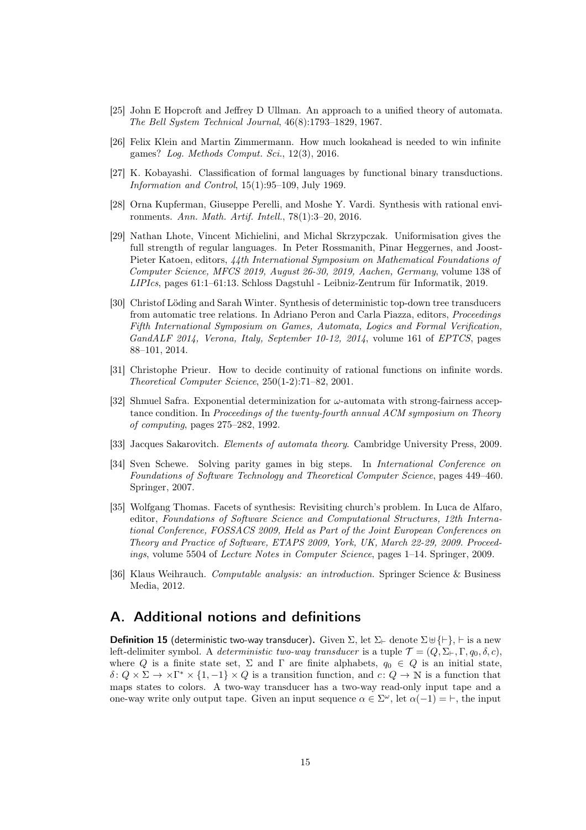- <span id="page-14-6"></span>[25] John E Hopcroft and Jeffrey D Ullman. An approach to a unified theory of automata. The Bell System Technical Journal, 46(8):1793–1829, 1967.
- <span id="page-14-0"></span>[26] Felix Klein and Martin Zimmermann. How much lookahead is needed to win infinite games? Log. Methods Comput. Sci., 12(3), 2016.
- [27] K. Kobayashi. Classification of formal languages by functional binary transductions. Information and Control, 15(1):95–109, July 1969.
- [28] Orna Kupferman, Giuseppe Perelli, and Moshe Y. Vardi. Synthesis with rational environments. Ann. Math. Artif. Intell., 78(1):3–20, 2016.
- [29] Nathan Lhote, Vincent Michielini, and Michal Skrzypczak. Uniformisation gives the full strength of regular languages. In Peter Rossmanith, Pinar Heggernes, and Joost-Pieter Katoen, editors, 44th International Symposium on Mathematical Foundations of Computer Science, MFCS 2019, August 26-30, 2019, Aachen, Germany, volume 138 of LIPIcs, pages 61:1–61:13. Schloss Dagstuhl - Leibniz-Zentrum für Informatik, 2019.
- [30] Christof Löding and Sarah Winter. Synthesis of deterministic top-down tree transducers from automatic tree relations. In Adriano Peron and Carla Piazza, editors, Proceedings Fifth International Symposium on Games, Automata, Logics and Formal Verification, GandALF 2014, Verona, Italy, September 10-12, 2014, volume 161 of EPTCS, pages 88–101, 2014.
- <span id="page-14-1"></span>[31] Christophe Prieur. How to decide continuity of rational functions on infinite words. Theoretical Computer Science, 250(1-2):71–82, 2001.
- <span id="page-14-4"></span>[32] Shmuel Safra. Exponential determinization for  $\omega$ -automata with strong-fairness acceptance condition. In Proceedings of the twenty-fourth annual ACM symposium on Theory of computing, pages 275–282, 1992.
- <span id="page-14-5"></span><span id="page-14-2"></span>[33] Jacques Sakarovitch. Elements of automata theory. Cambridge University Press, 2009.
- [34] Sven Schewe. Solving parity games in big steps. In International Conference on Foundations of Software Technology and Theoretical Computer Science, pages 449–460. Springer, 2007.
- [35] Wolfgang Thomas. Facets of synthesis: Revisiting church's problem. In Luca de Alfaro, editor, Foundations of Software Science and Computational Structures, 12th International Conference, FOSSACS 2009, Held as Part of the Joint European Conferences on Theory and Practice of Software, ETAPS 2009, York, UK, March 22-29, 2009. Proceedings, volume 5504 of Lecture Notes in Computer Science, pages 1–14. Springer, 2009.
- <span id="page-14-3"></span>[36] Klaus Weihrauch. Computable analysis: an introduction. Springer Science & Business Media, 2012.

## A. Additional notions and definitions

**Definition 15** (deterministic two-way transducer). Given  $\Sigma$ , let  $\Sigma_{\vdash}$  denote  $\Sigma \uplus {\vdash}$ ,  $\vdash$  is a new left-delimiter symbol. A *deterministic two-way transducer* is a tuple  $\mathcal{T} = (Q, \Sigma_{\vdash}, \Gamma, q_0, \delta, c)$ , where Q is a finite state set,  $\Sigma$  and  $\Gamma$  are finite alphabets,  $q_0 \in Q$  is an initial state,  $\delta: Q \times \Sigma \to \Sigma^{*} \times \{1, -1\} \times Q$  is a transition function, and  $c: Q \to \mathbb{N}$  is a function that maps states to colors. A two-way transducer has a two-way read-only input tape and a one-way write only output tape. Given an input sequence  $\alpha \in \Sigma^{\omega}$ , let  $\alpha(-1) = \vdash$ , the input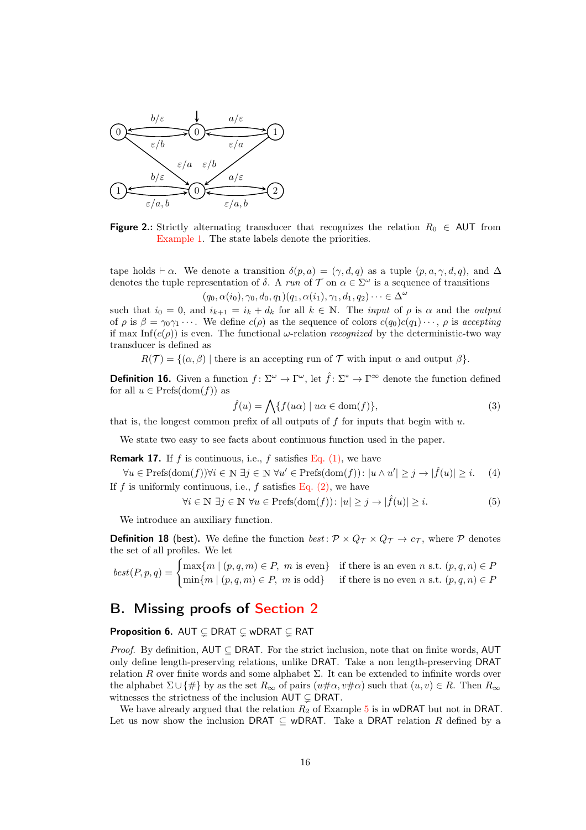<span id="page-15-0"></span>

**Figure 2.:** Strictly alternating transducer that recognizes the relation  $R_0 \in \text{AUT}$  from [Example 1.](#page-1-1) The state labels denote the priorities.

tape holds  $\vdash \alpha$ . We denote a transition  $\delta(p, a) = (\gamma, d, q)$  as a tuple  $(p, a, \gamma, d, q)$ , and  $\Delta$ denotes the tuple representation of  $\delta$ . A run of  $\mathcal T$  on  $\alpha \in \Sigma^\omega$  is a sequence of transitions  $(q_0, \alpha(i_0), \gamma_0, d_0, q_1)(q_1, \alpha(i_1), \gamma_1, d_1, q_2) \cdots \in \Delta^{\omega}$ 

such that  $i_0 = 0$ , and  $i_{k+1} = i_k + d_k$  for all  $k \in \mathbb{N}$ . The *input* of  $\rho$  is  $\alpha$  and the *output* of  $\rho$  is  $\beta = \gamma_0 \gamma_1 \cdots$ . We define  $c(\rho)$  as the sequence of colors  $c(q_0)c(q_1) \cdots$ ,  $\rho$  is accepting if max Inf( $c(\rho)$ ) is even. The functional  $\omega$ -relation *recognized* by the deterministic-two way transducer is defined as

 $R(\mathcal{T}) = \{(\alpha, \beta) \mid \text{there is an accepting run of } \mathcal{T} \text{ with input } \alpha \text{ and output } \beta\}.$ 

**Definition 16.** Given a function  $f: \Sigma^{\omega} \to \Gamma^{\omega}$ , let  $\hat{f}: \Sigma^* \to \Gamma^{\infty}$  denote the function defined for all  $u \in \text{Prefs}(\text{dom}(f))$  as

$$
\hat{f}(u) = \bigwedge \{ f(u\alpha) \mid u\alpha \in \text{dom}(f) \},\tag{3}
$$

that is, the longest common prefix of all outputs of  $f$  for inputs that begin with  $u$ .

We state two easy to see facts about continuous function used in the paper.

**Remark 17.** If f is continuous, i.e., f satisfies Eq.  $(1)$ , we have

 $\forall u \in \text{Prefs}(\text{dom}(f)) \forall i \in \mathbb{N} \; \exists j \in \mathbb{N} \; \forall u' \in \text{Prefs}(\text{dom}(f)) : |u \wedge u'| \geq j \rightarrow |\hat{f}(u)| \geq i.$  (4) If f is uniformly continuous, i.e., f satisfies Eq.  $(2)$ , we have

<span id="page-15-3"></span>
$$
\forall i \in \mathbb{N} \; \exists j \in \mathbb{N} \; \forall u \in \text{Prefs}(\text{dom}(f)) \colon |u| \ge j \to |\hat{f}(u)| \ge i. \tag{5}
$$

<span id="page-15-2"></span>We introduce an auxiliary function.

**Definition 18** (best). We define the function best:  $\mathcal{P} \times Q_{\mathcal{T}} \times Q_{\mathcal{T}} \rightarrow c_{\mathcal{T}}$ , where  $\mathcal{P}$  denotes the set of all profiles. We let

 $best(P, p, q) = \begin{cases} \max\{m \mid (p, q, m) \in P, \ m \text{ is even} \} & \text{if there is an even } n \text{ s.t. } (p, q, n) \in P, \ m \text{ is even} & \text{if there is an even } n \text{ s.t. } (p, q, n) \in P, \end{cases}$  $\min\{m \mid (p,q,m) \in P, m \text{ is odd}\}\$ if there is no even n s.t.  $(p,q,n) \in P$ 

# <span id="page-15-1"></span>B. Missing proofs of [Section 2](#page-4-0)

### **Proposition 6.** AUT  $\subseteq$  DRAT  $\subseteq$  wDRAT  $\subseteq$  RAT

*Proof.* By definition, AUT  $\subseteq$  DRAT. For the strict inclusion, note that on finite words, AUT only define length-preserving relations, unlike DRAT. Take a non length-preserving DRAT relation R over finite words and some alphabet  $\Sigma$ . It can be extended to infinite words over the alphabet  $\Sigma \cup \{\#\}$  by as the set  $R_{\infty}$  of pairs  $(u\# \alpha, v\# \alpha)$  such that  $(u, v) \in R$ . Then  $R_{\infty}$ witnesses the strictness of the inclusion  $\mathsf{AUT} \subsetneq \mathsf{D}\mathsf{R}\mathsf{AT}$ .

We have already argued that the relation  $R_2$  of Example [5](#page-5-0) is in wDRAT but not in DRAT. Let us now show the inclusion DRAT  $\subseteq$  wDRAT. Take a DRAT relation R defined by a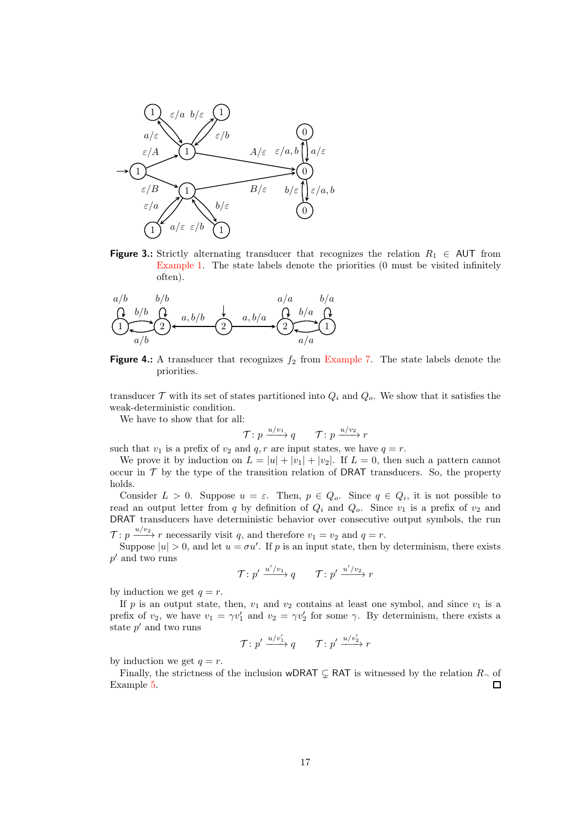<span id="page-16-0"></span>

**Figure 3.:** Strictly alternating transducer that recognizes the relation  $R_1 \in \text{AUT}$  from [Example 1.](#page-1-1) The state labels denote the priorities (0 must be visited infinitely often).

<span id="page-16-1"></span>

**Figure 4.:** A transducer that recognizes  $f_2$  from [Example 7.](#page-6-0) The state labels denote the priorities.

transducer  $\mathcal T$  with its set of states partitioned into  $Q_i$  and  $Q_o$ . We show that it satisfies the weak-deterministic condition.

We have to show that for all:

$$
\mathcal{T} \colon p \xrightarrow{u/v_1} q \qquad \mathcal{T} \colon p \xrightarrow{u/v_2} r
$$

such that  $v_1$  is a prefix of  $v_2$  and  $q, r$  are input states, we have  $q = r$ .

We prove it by induction on  $L = |u| + |v_1| + |v_2|$ . If  $L = 0$ , then such a pattern cannot occur in  $\mathcal T$  by the type of the transition relation of DRAT transducers. So, the property holds.

Consider  $L > 0$ . Suppose  $u = \varepsilon$ . Then,  $p \in Q_o$ . Since  $q \in Q_i$ , it is not possible to read an output letter from q by definition of  $Q_i$  and  $Q_o$ . Since  $v_1$  is a prefix of  $v_2$  and DRAT transducers have deterministic behavior over consecutive output symbols, the run

 $\mathcal{T}: p \xrightarrow{u/v_2} r$  necessarily visit q, and therefore  $v_1 = v_2$  and  $q = r$ .

Suppose  $|u| > 0$ , and let  $u = \sigma u'$ . If p is an input state, then by determinism, there exists  $p^\prime$  and two runs

$$
\mathcal{T}: p' \xrightarrow{u'/v_1} q \qquad \mathcal{T}: p' \xrightarrow{u'/v_2} r
$$

by induction we get  $q = r$ .

If p is an output state, then,  $v_1$  and  $v_2$  contains at least one symbol, and since  $v_1$  is a prefix of  $v_2$ , we have  $v_1 = \gamma v_1'$  and  $v_2 = \gamma v_2'$  for some  $\gamma$ . By determinism, there exists a state  $p'$  and two runs

$$
\mathcal{T} \colon p' \xrightarrow{u/v'_1} q \qquad \mathcal{T} \colon p' \xrightarrow{u/v'_2} r
$$

by induction we get  $q = r$ .

Finally, the strictness of the inclusion wDRAT  $\subsetneq$  RAT is witnessed by the relation  $R_{\neg}$  of Example [5.](#page-5-0)  $\Box$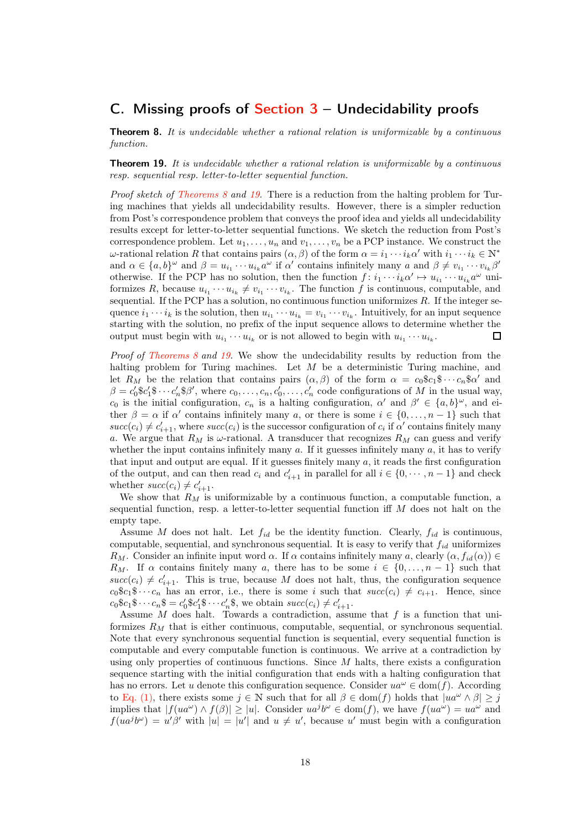# C. Missing proofs of Section  $3$  – Undecidability proofs

**Theorem 8.** It is undecidable whether a rational relation is uniformizable by a continuous function.

<span id="page-17-0"></span>**Theorem 19.** It is undecidable whether a rational relation is uniformizable by a continuous resp. sequential resp. letter-to-letter sequential function.

Proof sketch of [Theorems 8](#page-6-3) and [19.](#page-17-0) There is a reduction from the halting problem for Turing machines that yields all undecidability results. However, there is a simpler reduction from Post's correspondence problem that conveys the proof idea and yields all undecidability results except for letter-to-letter sequential functions. We sketch the reduction from Post's correspondence problem. Let  $u_1, \ldots, u_n$  and  $v_1, \ldots, v_n$  be a PCP instance. We construct the  $ω$ -rational relation R that contains pairs  $(α, β)$  of the form  $α = i<sub>1</sub> ··· i<sub>k</sub>α'$  with  $i<sub>1</sub> ··· i<sub>k</sub> ∈ ℕ<sup>*</sup>$ and  $\alpha \in \{a, b\}^\omega$  and  $\beta = u_{i_1} \cdots u_{i_k} a^\omega$  if  $\alpha'$  contains infinitely many  $a$  and  $\beta \neq v_{i_1} \cdots v_{i_k} \beta'$ otherwise. If the PCP has no solution, then the function  $f: i_1 \cdots i_k \alpha' \mapsto u_{i_1} \cdots u_{i_k} \alpha^{\omega}$  uniformizes R, because  $u_{i_1} \cdots u_{i_k} \neq v_{i_1} \cdots v_{i_k}$ . The function f is continuous, computable, and sequential. If the PCP has a solution, no continuous function uniformizes  $R$ . If the integer sequence  $i_1 \cdots i_k$  is the solution, then  $u_{i_1} \cdots u_{i_k} = v_{i_1} \cdots v_{i_k}$ . Intuitively, for an input sequence starting with the solution, no prefix of the input sequence allows to determine whether the output must begin with  $u_{i_1} \cdots u_{i_k}$  or is not allowed to begin with  $u_{i_1} \cdots u_{i_k}$ .  $\Box$ 

Proof of [Theorems 8](#page-6-3) and [19.](#page-17-0) We show the undecidability results by reduction from the halting problem for Turing machines. Let M be a deterministic Turing machine, and let  $R_M$  be the relation that contains pairs  $(\alpha, \beta)$  of the form  $\alpha = c_0 \hat{\mathbb{S}} c_1 \hat{\mathbb{S}} \cdots c_n \hat{\mathbb{S}} \alpha'$  and  $\beta = c'_0$ \$ $c'_1$ \$ $\cdots$  $c'_n$ \$ $\beta'$ , where  $c_0, \ldots, c_n, c'_0, \ldots, c'_n$  code configurations of M in the usual way, c<sub>0</sub> is the initial configuration,  $c_n$  is a halting configuration,  $\alpha'$  and  $\beta' \in \{a, b\}^{\omega}$ , and either  $\beta = \alpha$  if  $\alpha'$  contains infinitely many a, or there is some  $i \in \{0, \ldots, n-1\}$  such that  $succ(c_i) \neq c'_{i+1}$ , where  $succ(c_i)$  is the successor configuration of  $c_i$  if  $\alpha'$  contains finitely many a. We argue that  $R_M$  is  $\omega$ -rational. A transducer that recognizes  $R_M$  can guess and verify whether the input contains infinitely many  $a$ . If it guesses infinitely many  $a$ , it has to verify that input and output are equal. If it guesses finitely many  $a$ , it reads the first configuration of the output, and can then read  $c_i$  and  $c'_{i+1}$  in parallel for all  $i \in \{0, \dots, n-1\}$  and check whether  $succ(c_i) \neq c'_{i+1}$ .

We show that  $R_M$  is uniformizable by a continuous function, a computable function, a sequential function, resp. a letter-to-letter sequential function iff  $M$  does not halt on the empty tape.

Assume M does not halt. Let  $f_{id}$  be the identity function. Clearly,  $f_{id}$  is continuous, computable, sequential, and synchronous sequential. It is easy to verify that  $f_{id}$  uniformizes R<sub>M</sub>. Consider an infinite input word  $\alpha$ . If  $\alpha$  contains infinitely many a, clearly  $(\alpha, f_{id}(\alpha)) \in$ R<sub>M</sub>. If  $\alpha$  contains finitely many a, there has to be some  $i \in \{0, \ldots, n-1\}$  such that  $succ(c_i) \neq c'_{i+1}$ . This is true, because M does not halt, thus, the configuration sequence  $c_0$ \$ $c_1$ \$ $\cdots$  $c_n$  has an error, i.e., there is some i such that  $succ(c_i) \neq c_{i+1}$ . Hence, since  $c_0$ \$ $c_1$ \$ $\cdots$  $c_n$ \$ $= c'_0$ \$ $c'_1$ \$ $\cdots$  $c'_n$ \$, we obtain  $succ(c_i) \neq c'_{i+1}$ .

Assume  $M$  does halt. Towards a contradiction, assume that  $f$  is a function that uniformizes  $R_M$  that is either continuous, computable, sequential, or synchronous sequential. Note that every synchronous sequential function is sequential, every sequential function is computable and every computable function is continuous. We arrive at a contradiction by using only properties of continuous functions. Since  $M$  halts, there exists a configuration sequence starting with the initial configuration that ends with a halting configuration that has no errors. Let u denote this configuration sequence. Consider  $ua^{\omega} \in \text{dom}(f)$ . According to [Eq. \(1\),](#page-6-1) there exists some  $j \in \mathbb{N}$  such that for all  $\beta \in \text{dom}(f)$  holds that  $|ua^{\omega} \wedge \beta| \geq j$ implies that  $|f(ua^{\omega}) \wedge f(\beta)| \ge |u|$ . Consider  $ua^j b^{\omega} \in \text{dom}(f)$ , we have  $f(ua^{\omega}) = ua^{\omega}$  and  $f(ua^j b^{\omega}) = u'\beta'$  with  $|u| = |u'|$  and  $u \neq u'$ , because u' must begin with a configuration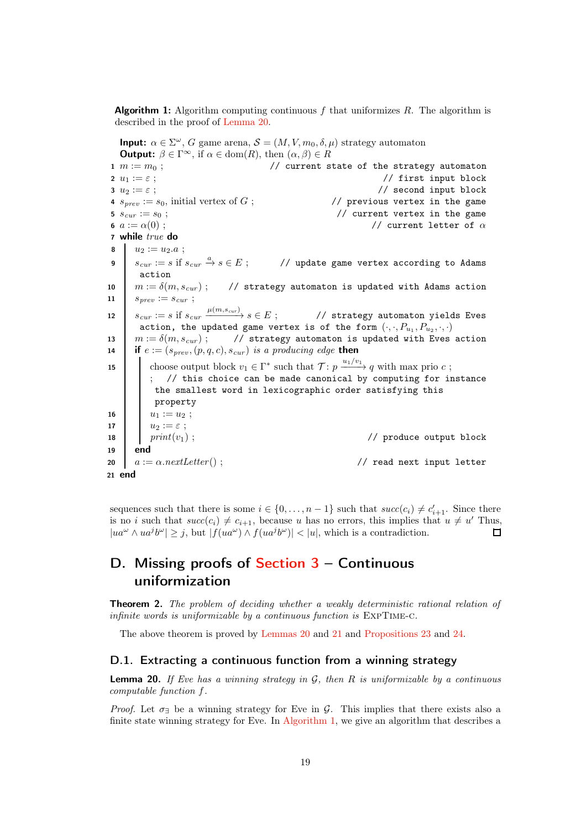<span id="page-18-1"></span>**Algorithm 1:** Algorithm computing continuous f that uniformizes R. The algorithm is described in the proof of [Lemma 20.](#page-18-0)

<span id="page-18-2"></span>**Input:**  $\alpha \in \Sigma^{\omega}$ , G game arena,  $\mathcal{S} = (M, V, m_0, \delta, \mu)$  strategy automaton **Output:**  $\beta \in \Gamma^\infty$ , if  $\alpha \in \text{dom}(R)$ , then  $(\alpha, \beta) \in R$ 1  $m := m_0$ ;  $\frac{1}{2}$  // current state of the strategy automaton 2  $u_1 := \varepsilon$ ;  $\frac{1}{2}$  is the set of the set of the set of the set of the set of the set of the set of the set of the set of the set of the set of the set of the set of the set of the set of the set of the set of the set  $3 \, u_2 := \varepsilon$  ;  $\frac{1}{2}$  if the second input block 4  $s_{prev} := s_0$ , initial vertex of G; // previous vertex in the game 5  $s_{cur} := s_0$ ; // current vertex in the game 6  $a := \alpha(0)$ ;  $\qquad \qquad$  // current letter of  $\alpha$ 7 while true do 8  $u_2 := u_2.a;$ 9  $s_{cur} := s$  if  $s_{cur} \stackrel{a}{\rightarrow} s \in E$ ; // update game vertex according to Adams action 10  $m := \delta(m, s_{cur})$ ; // strategy automaton is updated with Adams action 11  $s_{\text{prev}} := s_{\text{cur}};$ 12  $s_{cur} := s$  if  $s_{cur} \frac{\mu(m, s_{cur})}{m}$ −−−−−−→ s ∈ E ; // strategy automaton yields Eves action, the updated game vertex is of the form  $(\cdot,\cdot,P_{u_1},P_{u_2},\cdot,\cdot)$ 13  $m := \delta(m, s_{cur})$ ; // strategy automaton is updated with Eves action 14 if  $e := (s_{prev}, (p, q, c), s_{cur})$  is a producing edge then 15 choose output block  $v_1 \in \Gamma^*$  such that  $\mathcal{T} : p \xrightarrow{u_1/v_1} q$  with max prio c; ; // this choice can be made canonical by computing for instance the smallest word in lexicographic order satisfying this property 16 |  $u_1 := u_2$ ; 17  $u_2 := \varepsilon$ ;<br>
18  $\begin{array}{|c|c|} \hline u_2 & := \varepsilon \\ print(v_1) & ; \hline \end{array}$ 18 print $(v_1)$ ;  $/$  produce output block 19 end <sup>20</sup> a := α.nextLetter () ; // read next input letter <sup>21</sup> end

<span id="page-18-4"></span><span id="page-18-3"></span>sequences such that there is some  $i \in \{0, \ldots, n-1\}$  such that  $succ(c_i) \neq c'_{i+1}$ . Since there is no i such that  $succ(c_i) \neq c_{i+1}$ , because u has no errors, this implies that  $u \neq u'$  Thus,  $|ua^{\omega} \wedge ua^{j}b^{\omega}| \geq j$ , but  $|f(ua^{\omega}) \wedge f(ua^{j}b^{\omega})| < |u|$ , which is a contradiction. П

# D. Missing proofs of Section  $3 -$  Continuous uniformization

**Theorem 2.** The problem of deciding whether a weakly deterministic rational relation of infinite words is uniformizable by a continuous function is ExpTime-c.

The above theorem is proved by [Lemmas 20](#page-18-0) and [21](#page-19-0) and [Propositions 23](#page-21-1) and [24.](#page-22-2)

#### <span id="page-18-0"></span>D.1. Extracting a continuous function from a winning strategy

**Lemma 20.** If Eve has a winning strategy in  $G$ , then R is uniformizable by a continuous computable function f.

*Proof.* Let  $\sigma_{\exists}$  be a winning strategy for Eve in G. This implies that there exists also a finite state winning strategy for Eve. In [Algorithm 1,](#page-18-1) we give an algorithm that describes a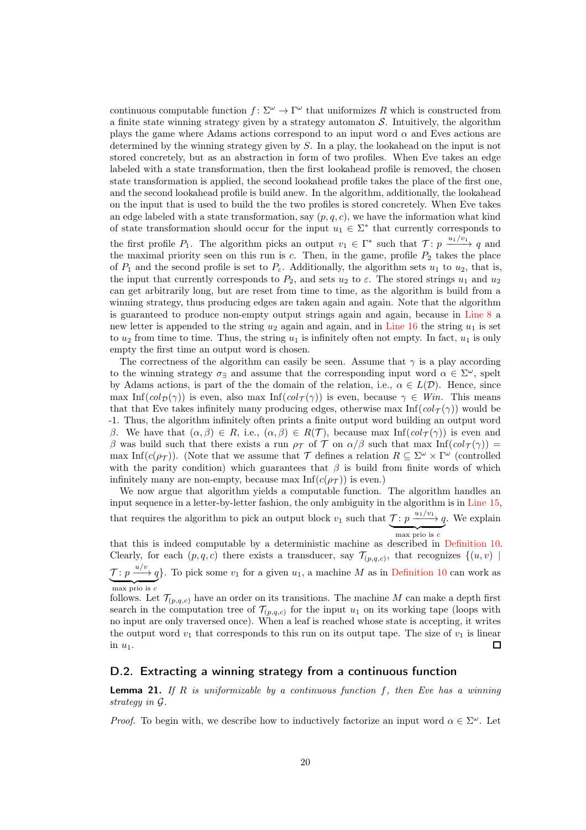continuous computable function  $f: \Sigma^{\omega} \to \Gamma^{\omega}$  that uniformizes R which is constructed from a finite state winning strategy given by a strategy automaton  $S$ . Intuitively, the algorithm plays the game where Adams actions correspond to an input word  $\alpha$  and Eves actions are determined by the winning strategy given by S. In a play, the lookahead on the input is not stored concretely, but as an abstraction in form of two profiles. When Eve takes an edge labeled with a state transformation, then the first lookahead profile is removed, the chosen state transformation is applied, the second lookahead profile takes the place of the first one, and the second lookahead profile is build anew. In the algorithm, additionally, the lookahead on the input that is used to build the the two profiles is stored concretely. When Eve takes an edge labeled with a state transformation, say  $(p, q, c)$ , we have the information what kind of state transformation should occur for the input  $u_1 \in \Sigma^*$  that currently corresponds to the first profile  $P_1$ . The algorithm picks an output  $v_1 \in \Gamma^*$  such that  $\mathcal{T}: p \xrightarrow{u_1/v_1} q$  and the maximal priority seen on this run is  $c$ . Then, in the game, profile  $P_2$  takes the place of  $P_1$  and the second profile is set to  $P_\varepsilon$ . Additionally, the algorithm sets  $u_1$  to  $u_2$ , that is, the input that currently corresponds to  $P_2$ , and sets  $u_2$  to  $\varepsilon$ . The stored strings  $u_1$  and  $u_2$ can get arbitrarily long, but are reset from time to time, as the algorithm is build from a winning strategy, thus producing edges are taken again and again. Note that the algorithm is guaranteed to produce non-empty output strings again and again, because in [Line 8](#page-18-2) a new letter is appended to the string  $u_2$  again and again, and in [Line 16](#page-18-3) the string  $u_1$  is set to  $u_2$  from time to time. Thus, the string  $u_1$  is infinitely often not empty. In fact,  $u_1$  is only empty the first time an output word is chosen.

The correctness of the algorithm can easily be seen. Assume that  $\gamma$  is a play according to the winning strategy  $\sigma_{\exists}$  and assume that the corresponding input word  $\alpha \in \Sigma^{\omega}$ , spelt by Adams actions, is part of the the domain of the relation, i.e.,  $\alpha \in L(\mathcal{D})$ . Hence, since max Inf(col $\mathcal{D}(\gamma)$ ) is even, also max Inf(col $\tau(\gamma)$ ) is even, because  $\gamma \in$  Win. This means that that Eve takes infinitely many producing edges, otherwise max  $\text{Inf}(col_{\mathcal{T}}(\gamma))$  would be -1. Thus, the algorithm infinitely often prints a finite output word building an output word β. We have that  $(\alpha, \beta) \in R$ , i.e.,  $(\alpha, \beta) \in R(\mathcal{T})$ , because max Inf(col $\tau(\gamma)$ ) is even and β was build such that there exists a run  $ρ<sub>T</sub>$  of T on  $α/β$  such that max Inf(col $τ(γ)$ ) = max Inf( $c(\rho_{\mathcal{T}})$ ). (Note that we assume that  $\mathcal{T}$  defines a relation  $R \subseteq \Sigma^{\omega} \times \Gamma^{\omega}$  (controlled with the parity condition) which guarantees that  $\beta$  is build from finite words of which infinitely many are non-empty, because max  $Inf(c(\rho_{\mathcal{T}}))$  is even.)

We now argue that algorithm yields a computable function. The algorithm handles an input sequence in a letter-by-letter fashion, the only ambiguity in the algorithm is in [Line 15,](#page-18-4) that requires the algorithm to pick an output block  $v_1$  such that  $\mathcal{T}$ :  $p \xrightarrow{u_1/v_1} q$  $\overline{\text{max priori}}$ . We explain

that this is indeed computable by a deterministic machine as described in [Definition 10.](#page-9-1) Clearly, for each  $(p, q, c)$  there exists a transducer, say  $\mathcal{T}_{(p,q,c)}$ , that recognizes  $\{(u, v) \mid$  $\mathcal{T} : p \xrightarrow{u/v} q$  $max$  prio is  $c$ }. To pick some  $v_1$  for a given  $u_1$ , a machine M as in [Definition 10](#page-9-1) can work as

follows. Let  $\mathcal{T}_{(p,q,c)}$  have an order on its transitions. The machine M can make a depth first search in the computation tree of  $\mathcal{T}_{(p,q,c)}$  for the input  $u_1$  on its working tape (loops with no input are only traversed once). When a leaf is reached whose state is accepting, it writes the output word  $v_1$  that corresponds to this run on its output tape. The size of  $v_1$  is linear in  $u_1$ .  $\Box$ 

### <span id="page-19-0"></span>D.2. Extracting a winning strategy from a continuous function

**Lemma 21.** If R is uniformizable by a continuous function f, then Eve has a winning strategy in G.

*Proof.* To begin with, we describe how to inductively factorize an input word  $\alpha \in \Sigma^{\omega}$ . Let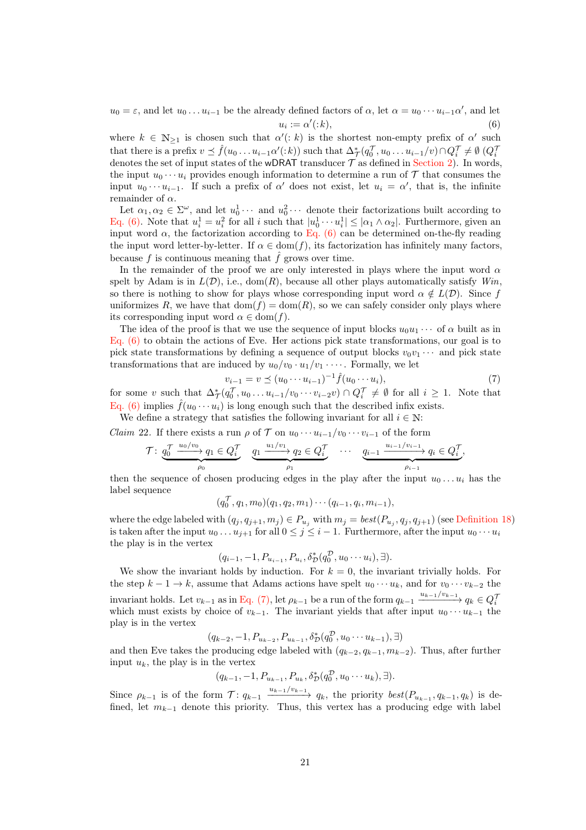<span id="page-20-0"></span> $u_0 = \varepsilon$ , and let  $u_0 \dots u_{i-1}$  be the already defined factors of  $\alpha$ , let  $\alpha = u_0 \cdots u_{i-1} \alpha'$ , and let  $u_i := \alpha'$  $(:k),$  (6)

where  $k \in \mathbb{N}_{\geq 1}$  is chosen such that  $\alpha'(:k)$  is the shortest non-empty prefix of  $\alpha'$  such that there is a prefix  $v \preceq \hat{f}(u_0 \dots u_{i-1} \alpha'(:k))$  such that  $\Delta^*_{\mathcal{T}}(q_0^{\mathcal{T}}, u_0 \dots u_{i-1}/v) \cap Q_i^{\mathcal{T}} \neq \emptyset$   $(Q_i^{\mathcal{T}})$ denotes the set of input states of the wDRAT transducer  $\mathcal T$  as defined in [Section 2\)](#page-4-0). In words, the input  $u_0 \cdots u_i$  provides enough information to determine a run of  $\mathcal T$  that consumes the input  $u_0 \cdots u_{i-1}$ . If such a prefix of  $\alpha'$  does not exist, let  $u_i = \alpha'$ , that is, the infinite remainder of  $\alpha$ .

Let  $\alpha_1, \alpha_2 \in \Sigma^{\omega}$ , and let  $u_0^1 \cdots$  and  $u_0^2 \cdots$  denote their factorizations built according to [Eq. \(6\).](#page-20-0) Note that  $u_i^1 = u_i^2$  for all i such that  $|u_0^1 \cdots u_i^1| \leq |\alpha_1 \wedge \alpha_2|$ . Furthermore, given an input word  $\alpha$ , the factorization according to [Eq. \(6\)](#page-20-0) can be determined on-the-fly reading the input word letter-by-letter. If  $\alpha \in \text{dom}(f)$ , its factorization has infinitely many factors, because f is continuous meaning that  $\hat{f}$  grows over time.

In the remainder of the proof we are only interested in plays where the input word  $\alpha$ spelt by Adam is in  $L(\mathcal{D})$ , i.e., dom(R), because all other plays automatically satisfy  $Win$ , so there is nothing to show for plays whose corresponding input word  $\alpha \notin L(\mathcal{D})$ . Since f uniformizes R, we have that  $dom(f) = dom(R)$ , so we can safely consider only plays where its corresponding input word  $\alpha \in \text{dom}(f)$ .

The idea of the proof is that we use the sequence of input blocks  $u_0u_1 \cdots$  of  $\alpha$  built as in [Eq. \(6\)](#page-20-0) to obtain the actions of Eve. Her actions pick state transformations, our goal is to pick state transformations by defining a sequence of output blocks  $v_0v_1 \cdots$  and pick state transformations that are induced by  $u_0/v_0 \cdot u_1/v_1 \cdot \cdots$ . Formally, we let

<span id="page-20-1"></span>
$$
v_{i-1} = v \le (u_0 \cdots u_{i-1})^{-1} \hat{f}(u_0 \cdots u_i),
$$
\n(7)

for some v such that  $\Delta_{\mathcal{T}}^*(q_0^{\mathcal{T}}, u_0 \ldots u_{i-1}/v_0 \cdots v_{i-2}v) \cap Q_i^{\mathcal{T}} \neq \emptyset$  for all  $i \geq 1$ . Note that [Eq. \(6\)](#page-20-0) implies  $\hat{f}(u_0 \cdots u_i)$  is long enough such that the described infix exists.

<span id="page-20-2"></span>We define a strategy that satisfies the following invariant for all  $i \in \mathbb{N}$ :

*Claim* 22. If there exists a run  $\rho$  of  $\mathcal T$  on  $u_0 \cdots u_{i-1}/v_0 \cdots v_{i-1}$  of the form

$$
\mathcal{T}: \underbrace{q_0^{\mathcal{T}} \xrightarrow{u_0/v_0} q_1 \in Q_i^{\mathcal{T}}}_{\rho_0} \underbrace{q_1 \xrightarrow{u_1/v_1} q_2 \in Q_i^{\mathcal{T}}}_{\rho_1} \cdots \underbrace{q_{i-1} \xrightarrow{u_{i-1}/v_{i-1}} q_i \in Q_i^{\mathcal{T}}}_{\rho_{i-1}},
$$

then the sequence of chosen producing edges in the play after the input  $u_0 \dots u_i$  has the label sequence

$$
(q_0^{\mathcal{T}}, q_1, m_0)(q_1, q_2, m_1) \cdots (q_{i-1}, q_i, m_{i-1}),
$$

where the edge labeled with  $(q_j, q_{j+1}, m_j) \in P_{u_j}$  with  $m_j = best(P_{u_j}, q_j, q_{j+1})$  (see [Definition 18\)](#page-15-2) is taken after the input  $u_0 \dots u_{j+1}$  for all  $0 \le j \le i-1$ . Furthermore, after the input  $u_0 \cdots u_i$ the play is in the vertex

$$
(q_{i-1}, -1, P_{u_{i-1}}, P_{u_i}, \delta^*_{\mathcal{D}}(q_0^{\mathcal{D}}, u_0 \cdots u_i), \exists).
$$

We show the invariant holds by induction. For  $k = 0$ , the invariant trivially holds. For the step  $k - 1 \rightarrow k$ , assume that Adams actions have spelt  $u_0 \cdots u_k$ , and for  $v_0 \cdots v_{k-2}$  the invariant holds. Let  $v_{k-1}$  as in [Eq. \(7\),](#page-20-1) let  $\rho_{k-1}$  be a run of the form  $q_{k-1} \xrightarrow{u_{k-1}/v_{k-1}} q_k \in Q_i^7$ which must exists by choice of  $v_{k-1}$ . The invariant yields that after input  $u_0 \cdots u_{k-1}$  the play is in the vertex

 $(q_{k-2}, -1, P_{u_{k-2}}, P_{u_{k-1}}, \delta_{\mathcal{D}}^{*}(q_{0}^{\mathcal{D}}, u_{0} \cdots u_{k-1}), \exists)$ 

and then Eve takes the producing edge labeled with  $(q_{k-2}, q_{k-1}, m_{k-2})$ . Thus, after further input  $u_k$ , the play is in the vertex

$$
(q_{k-1}, -1, P_{u_{k-1}}, P_{u_k}, \delta^*_{\mathcal{D}}(q_0^{\mathcal{D}}, u_0 \cdots u_k), \exists).
$$

Since  $\rho_{k-1}$  is of the form  $\mathcal{T}: q_{k-1} \xrightarrow{u_{k-1}/v_{k-1}} q_k$ , the priority  $best(P_{u_{k-1}}, q_{k-1}, q_k)$  is defined, let  $m_{k-1}$  denote this priority. Thus, this vertex has a producing edge with label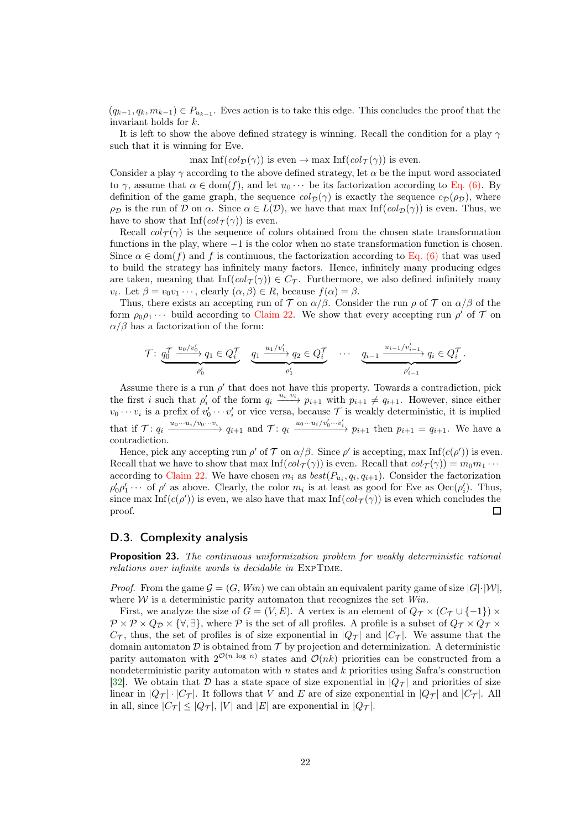$(q_{k-1}, q_k, m_{k-1}) \in P_{u_{k-1}}$ . Eves action is to take this edge. This concludes the proof that the invariant holds for k.

It is left to show the above defined strategy is winning. Recall the condition for a play  $\gamma$ such that it is winning for Eve.

max Inf(col $\mathcal{D}(\gamma)$ ) is even  $\rightarrow$  max Inf(col $\tau(\gamma)$ ) is even.

Consider a play  $\gamma$  according to the above defined strategy, let  $\alpha$  be the input word associated to  $\gamma$ , assume that  $\alpha \in \text{dom}(f)$ , and let  $u_0 \cdots$  be its factorization according to [Eq. \(6\).](#page-20-0) By definition of the game graph, the sequence  $col_{\mathcal{D}}(\gamma)$  is exactly the sequence  $\mathcal{CD}(\rho_{\mathcal{D}})$ , where  $\rho_{\mathcal{D}}$  is the run of  $\mathcal D$  on  $\alpha$ . Since  $\alpha \in L(\mathcal{D})$ , we have that max Inf( $col_{\mathcal{D}}(\gamma)$ ) is even. Thus, we have to show that Inf( $col_{\mathcal{T}}(\gamma)$ ) is even.

Recall  $col_{\tau}(\gamma)$  is the sequence of colors obtained from the chosen state transformation functions in the play, where −1 is the color when no state transformation function is chosen. Since  $\alpha \in \text{dom}(f)$  and f is continuous, the factorization according to [Eq. \(6\)](#page-20-0) that was used to build the strategy has infinitely many factors. Hence, infinitely many producing edges are taken, meaning that  $\text{Inf}(col_{\mathcal{T}}(\gamma)) \in C_{\mathcal{T}}$ . Furthermore, we also defined infinitely many  $v_i$ . Let  $\beta = v_0v_1 \cdots$ , clearly  $(\alpha, \beta) \in R$ , because  $f(\alpha) = \beta$ .

Thus, there exists an accepting run of  $\mathcal T$  on  $\alpha/\beta$ . Consider the run  $\rho$  of  $\mathcal T$  on  $\alpha/\beta$  of the form  $\rho_0 \rho_1 \cdots$  build according to [Claim 22.](#page-20-2) We show that every accepting run  $\rho'$  of  $\mathcal T$  on  $\alpha/\beta$  has a factorization of the form:

$$
\mathcal{T} \colon \underbrace{q_0^{\mathcal{T}} \xrightarrow{u_0/v_0'}} q_1 \in Q_i^{\mathcal{T}} \underbrace{q_1 \xrightarrow{u_1/v_1'}} q_2 \in Q_i^{\mathcal{T}} \cdots \underbrace{q_{i-1} \xrightarrow{u_{i-1}/v_{i-1}'} q_i \in Q_i^{\mathcal{T}}}_{\rho_{i-1}'}.
$$

Assume there is a run  $\rho'$  that does not have this property. Towards a contradiction, pick the first i such that  $\rho'_i$  of the form  $q_i \xrightarrow{u_i v_i} p_{i+1}$  with  $p_{i+1} \neq q_{i+1}$ . However, since either  $v_0 \cdots v_i$  is a prefix of  $v'_0 \cdots v'_i$  or vice versa, because  $\mathcal T$  is weakly deterministic, it is implied that if  $\mathcal{T}: q_i \xrightarrow{u_0 \cdots u_i/v_0 \cdots v_i} q_{i+1}$  and  $\mathcal{T}: q_i \xrightarrow{u_0 \cdots u_i/v'_0 \cdots v'_i} p_{i+1}$  then  $p_{i+1} = q_{i+1}$ . We have a contradiction.

Hence, pick any accepting run  $\rho'$  of  $\mathcal T$  on  $\alpha/\beta$ . Since  $\rho'$  is accepting, max Inf( $c(\rho')$ ) is even. Recall that we have to show that max  $\text{Inf}(col_{\mathcal{T}}(\gamma))$  is even. Recall that  $col_{\mathcal{T}}(\gamma)) = m_0 m_1 \cdots$ according to [Claim 22.](#page-20-2) We have chosen  $m_i$  as  $best(P_{u_i}, q_i, q_{i+1})$ . Consider the factorization  $\rho'_0 \rho'_1 \cdots$  of  $\rho'$  as above. Clearly, the color  $m_i$  is at least as good for Eve as  $\text{Occ}(\rho'_i)$ . Thus, since max  $\text{Inf}(c(\rho'))$  is even, we also have that max  $\text{Inf}(col_{\mathcal{T}}(\gamma))$  is even which concludes the proof.  $\Box$ 

### <span id="page-21-1"></span><span id="page-21-0"></span>D.3. Complexity analysis

**Proposition 23.** The continuous uniformization problem for weakly deterministic rational relations over infinite words is decidable in ExpTime.

*Proof.* From the game  $\mathcal{G} = (G, Win)$  we can obtain an equivalent parity game of size  $|G| \cdot |W|$ , where  $\mathcal W$  is a deterministic parity automaton that recognizes the set  $Win$ .

First, we analyze the size of  $G = (V, E)$ . A vertex is an element of  $Q_T \times (C_T \cup \{-1\}) \times$  $\mathcal{P} \times \mathcal{P} \times Q_{\mathcal{D}} \times \{\forall, \exists\},\$  where  $\mathcal{P}$  is the set of all profiles. A profile is a subset of  $Q_{\mathcal{T}} \times Q_{\mathcal{T}} \times$  $C_{\mathcal{T}}$ , thus, the set of profiles is of size exponential in  $|Q_{\mathcal{T}}|$  and  $|C_{\mathcal{T}}|$ . We assume that the domain automaton  $\mathcal D$  is obtained from  $\mathcal T$  by projection and determinization. A deterministic parity automaton with  $2^{\mathcal{O}(n \log n)}$  states and  $\mathcal{O}(nk)$  priorities can be constructed from a nondeterministic parity automaton with  $n$  states and  $k$  priorities using Safra's construction [\[32\]](#page-14-4). We obtain that  $\mathcal D$  has a state space of size exponential in  $|Q_T|$  and priorities of size linear in  $|Q_T| \cdot |C_T|$ . It follows that V and E are of size exponential in  $|Q_T|$  and  $|C_T|$ . All in all, since  $|C_{\mathcal{T}}| \leq |Q_{\mathcal{T}}|$ , |V| and |E| are exponential in  $|Q_{\mathcal{T}}|$ .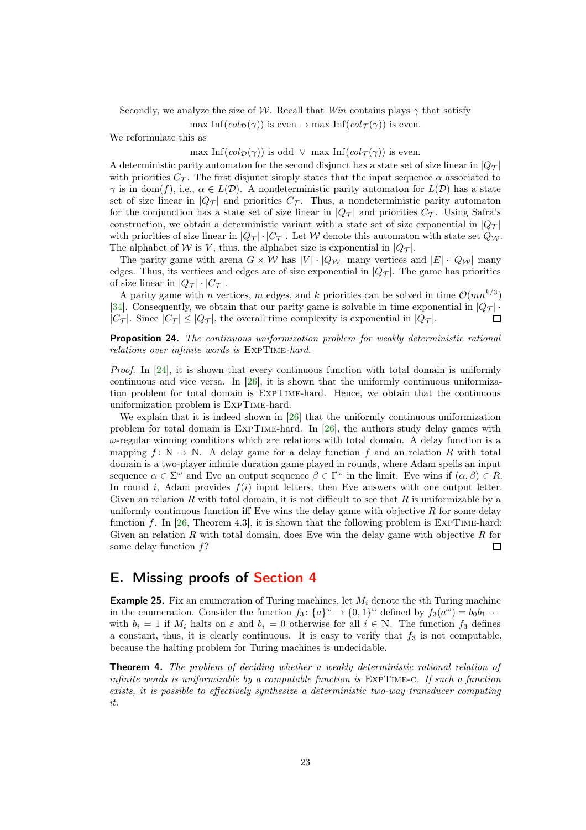Secondly, we analyze the size of W. Recall that Win contains plays  $\gamma$  that satisfy

max Inf(col $\mathcal{D}(\gamma)$ ) is even  $\rightarrow$  max Inf(col $\tau(\gamma)$ ) is even.

We reformulate this as

max Inf( $col_{\mathcal{D}}(\gamma)$ ) is odd  $\vee$  max Inf( $col_{\mathcal{T}}(\gamma)$ ) is even.

A deterministic parity automaton for the second disjunct has a state set of size linear in  $|Q_\mathcal{T}|$ with priorities  $C_{\mathcal{T}}$ . The first disjunct simply states that the input sequence  $\alpha$  associated to  $\gamma$  is in dom(f), i.e.,  $\alpha \in L(\mathcal{D})$ . A nondeterministic parity automaton for  $L(\mathcal{D})$  has a state set of size linear in  $|Q_\mathcal{T}|$  and priorities  $C_\mathcal{T}$ . Thus, a nondeterministic parity automaton for the conjunction has a state set of size linear in  $|Q_T|$  and priorities  $C_T$ . Using Safra's construction, we obtain a deterministic variant with a state set of size exponential in  $|Q_\mathcal{T}|$ with priorities of size linear in  $|Q_\mathcal{T}| \cdot |C_\mathcal{T}|$ . Let W denote this automaton with state set  $Q_\mathcal{W}$ . The alphabet of W is V, thus, the alphabet size is exponential in  $|Q_T|$ .

The parity game with arena  $G \times W$  has  $|V| \cdot |Q_W|$  many vertices and  $|E| \cdot |Q_W|$  many edges. Thus, its vertices and edges are of size exponential in  $|Q_T|$ . The game has priorities of size linear in  $|Q_\mathcal{T}| \cdot |C_\mathcal{T}|$ .

A parity game with *n* vertices, *m* edges, and *k* priorities can be solved in time  $\mathcal{O}(mn^{k/3})$ [\[34\]](#page-14-5). Consequently, we obtain that our parity game is solvable in time exponential in  $|Q_T|$ .  $|C_{\tau}|$ . Since  $|C_{\tau}| < |Q_{\tau}|$ , the overall time complexity is exponential in  $|Q_{\tau}|$ .  $\Box$ 

<span id="page-22-2"></span>Proposition 24. The continuous uniformization problem for weakly deterministic rational relations over infinite words is ExpTime-hard.

Proof. In [\[24\]](#page-13-1), it is shown that every continuous function with total domain is uniformly continuous and vice versa. In [26], it is shown that the uniformly continuous uniformization problem for total domain is ExpTime-hard. Hence, we obtain that the continuous uniformization problem is ExpTime-hard.

We explain that it is indeed shown in [26] that the uniformly continuous uniformization problem for total domain is ExpTime-hard. In [26], the authors study delay games with  $\omega$ -regular winning conditions which are relations with total domain. A delay function is a mapping  $f: \mathbb{N} \to \mathbb{N}$ . A delay game for a delay function f and an relation R with total domain is a two-player infinite duration game played in rounds, where Adam spells an input sequence  $\alpha \in \Sigma^{\omega}$  and Eve an output sequence  $\beta \in \Gamma^{\omega}$  in the limit. Eve wins if  $(\alpha, \beta) \in R$ . In round i, Adam provides  $f(i)$  input letters, then Eve answers with one output letter. Given an relation R with total domain, it is not difficult to see that R is uniformizable by a uniformly continuous function iff Eve wins the delay game with objective  $R$  for some delay function f. In [26, Theorem 4.3], it is shown that the following problem is EXPTIME-hard: Given an relation  $R$  with total domain, does Eve win the delay game with objective  $R$  for some delay function  $f$ ? П

# <span id="page-22-1"></span>E. Missing proofs of [Section 4](#page-9-2)

<span id="page-22-0"></span>**Example 25.** Fix an enumeration of Turing machines, let  $M_i$  denote the *i*th Turing machine in the enumeration. Consider the function  $f_3$ :  $\{a\}^\omega \to \{0,1\}^\omega$  defined by  $f_3(a^\omega) = b_0b_1 \cdots$ with  $b_i = 1$  if  $M_i$  halts on  $\varepsilon$  and  $b_i = 0$  otherwise for all  $i \in \mathbb{N}$ . The function  $f_3$  defines a constant, thus, it is clearly continuous. It is easy to verify that  $f_3$  is not computable, because the halting problem for Turing machines is undecidable.

**Theorem 4.** The problem of deciding whether a weakly deterministic rational relation of infinite words is uniformizable by a computable function is  $\text{EXPTIME-C.}$  If such a function exists, it is possible to effectively synthesize a deterministic two-way transducer computing it.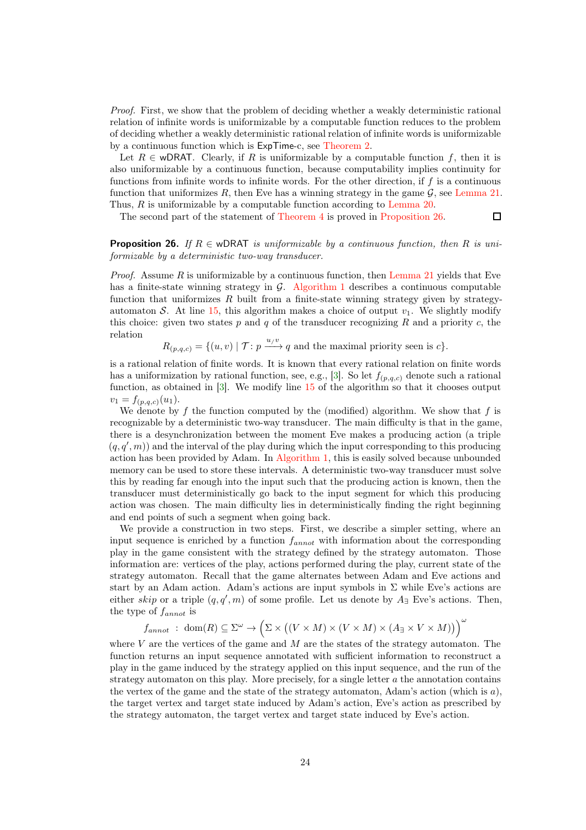Proof. First, we show that the problem of deciding whether a weakly deterministic rational relation of infinite words is uniformizable by a computable function reduces to the problem of deciding whether a weakly deterministic rational relation of infinite words is uniformizable by a continuous function which is ExpTime-c, see [Theorem 2.](#page-2-0)

Let  $R \in \text{wDRAT}$ . Clearly, if R is uniformizable by a computable function f, then it is also uniformizable by a continuous function, because computability implies continuity for functions from infinite words to infinite words. For the other direction, if f is a continuous function that uniformizes  $R$ , then Eve has a winning strategy in the game  $\mathcal{G}$ , see [Lemma 21.](#page-19-0) Thus, R is uniformizable by a computable function according to [Lemma 20.](#page-18-0)

<span id="page-23-0"></span>The second part of the statement of [Theorem 4](#page-3-1) is proved in [Proposition 26.](#page-23-0)

 $\Box$ 

**Proposition 26.** If  $R \in \text{wDRAT}$  is uniformizable by a continuous function, then R is uniformizable by a deterministic two-way transducer.

*Proof.* Assume R is uniformizable by a continuous function, then [Lemma 21](#page-19-0) yields that Eve has a finite-state winning strategy in  $\mathcal{G}$ . [Algorithm 1](#page-18-1) describes a continuous computable function that uniformizes R built from a finite-state winning strategy given by strategy-automaton S. At line [15,](#page-18-4) this algorithm makes a choice of output  $v_1$ . We slightly modify this choice: given two states  $p$  and  $q$  of the transducer recognizing  $R$  and a priority  $c$ , the relation

 $R_{(p,q,c)} = \{(u, v) | \mathcal{T} : p \xrightarrow{u/v} q \text{ and the maximal priority seen is } c\}.$ 

is a rational relation of finite words. It is known that every rational relation on finite words has a uniformization by rational function, see, e.g., [3]. So let  $f_{(p,q,c)}$  denote such a rational function, as obtained in [3]. We modify line [15](#page-18-4) of the algorithm so that it chooses output  $v_1 = f_{(p,q,c)}(u_1).$ 

We denote by f the function computed by the (modified) algorithm. We show that f is recognizable by a deterministic two-way transducer. The main difficulty is that in the game, there is a desynchronization between the moment Eve makes a producing action (a triple  $(q, q', m)$  and the interval of the play during which the input corresponding to this producing action has been provided by Adam. In [Algorithm 1,](#page-18-1) this is easily solved because unbounded memory can be used to store these intervals. A deterministic two-way transducer must solve this by reading far enough into the input such that the producing action is known, then the transducer must deterministically go back to the input segment for which this producing action was chosen. The main difficulty lies in deterministically finding the right beginning and end points of such a segment when going back.

We provide a construction in two steps. First, we describe a simpler setting, where an input sequence is enriched by a function  $f_{annot}$  with information about the corresponding play in the game consistent with the strategy defined by the strategy automaton. Those information are: vertices of the play, actions performed during the play, current state of the strategy automaton. Recall that the game alternates between Adam and Eve actions and start by an Adam action. Adam's actions are input symbols in  $\Sigma$  while Eve's actions are either skip or a triple  $(q, q', m)$  of some profile. Let us denote by  $A_{\exists}$  Eve's actions. Then, the type of  $f_{annot}$  is

$$
f_{annot} : dom(R) \subseteq \Sigma^{\omega} \to (\Sigma \times ((V \times M) \times (V \times M) \times (A_{\exists} \times V \times M)))^{\omega}
$$

where  $V$  are the vertices of the game and  $M$  are the states of the strategy automaton. The function returns an input sequence annotated with sufficient information to reconstruct a play in the game induced by the strategy applied on this input sequence, and the run of the strategy automaton on this play. More precisely, for a single letter  $a$  the annotation contains the vertex of the game and the state of the strategy automaton, Adam's action (which is  $a$ ), the target vertex and target state induced by Adam's action, Eve's action as prescribed by the strategy automaton, the target vertex and target state induced by Eve's action.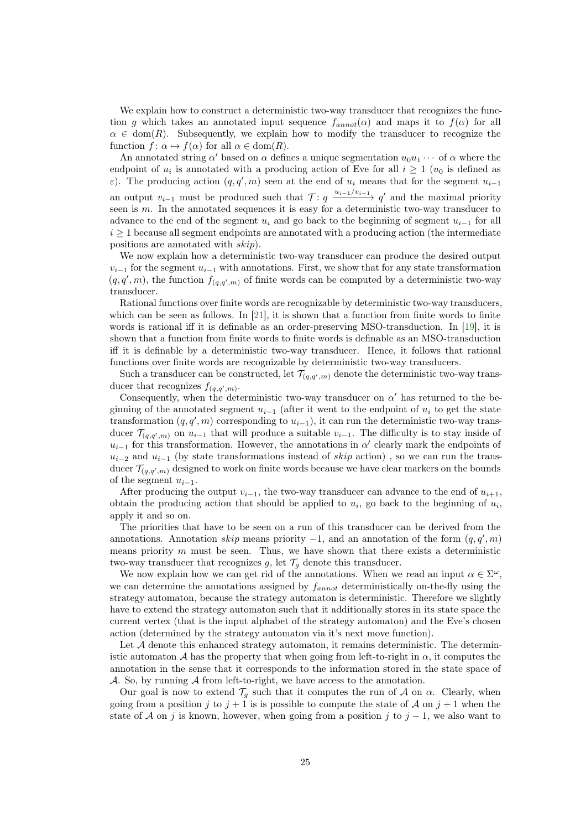We explain how to construct a deterministic two-way transducer that recognizes the function g which takes an annotated input sequence  $f_{annot}(\alpha)$  and maps it to  $f(\alpha)$  for all  $\alpha \in \text{dom}(R)$ . Subsequently, we explain how to modify the transducer to recognize the function  $f: \alpha \mapsto f(\alpha)$  for all  $\alpha \in \text{dom}(R)$ .

An annotated string  $\alpha'$  based on  $\alpha$  defines a unique segmentation  $u_0u_1\cdots$  of  $\alpha$  where the endpoint of  $u_i$  is annotated with a producing action of Eve for all  $i \geq 1$  ( $u_0$  is defined as  $\varepsilon$ ). The producing action  $(q, q', m)$  seen at the end of  $u_i$  means that for the segment  $u_{i-1}$ an output  $v_{i-1}$  must be produced such that  $\mathcal{T}$ :  $q \xrightarrow{u_{i-1}/v_{i-1}} q'$  and the maximal priority seen is m. In the annotated sequences it is easy for a deterministic two-way transducer to advance to the end of the segment  $u_i$  and go back to the beginning of segment  $u_{i-1}$  for all  $i \geq 1$  because all segment endpoints are annotated with a producing action (the intermediate positions are annotated with skip).

We now explain how a deterministic two-way transducer can produce the desired output  $v_{i-1}$  for the segment  $u_{i-1}$  with annotations. First, we show that for any state transformation  $(q, q', m)$ , the function  $f_{(q,q',m)}$  of finite words can be computed by a deterministic two-way transducer.

Rational functions over finite words are recognizable by deterministic two-way transducers, which can be seen as follows. In  $[21]$ , it is shown that a function from finite words to finite words is rational iff it is definable as an order-preserving MSO-transduction. In [\[19\]](#page-13-3), it is shown that a function from finite words to finite words is definable as an MSO-transduction iff it is definable by a deterministic two-way transducer. Hence, it follows that rational functions over finite words are recognizable by deterministic two-way transducers.

Such a transducer can be constructed, let  $\mathcal{T}_{(q,q',m)}$  denote the deterministic two-way transducer that recognizes  $f_{(q,q',m)}$ .

Consequently, when the deterministic two-way transducer on  $\alpha'$  has returned to the beginning of the annotated segment  $u_{i-1}$  (after it went to the endpoint of  $u_i$  to get the state transformation  $(q, q', m)$  corresponding to  $u_{i-1}$ , it can run the deterministic two-way transducer  $\mathcal{T}_{(q,q',m)}$  on  $u_{i-1}$  that will produce a suitable  $v_{i-1}$ . The difficulty is to stay inside of  $u_{i-1}$  for this transformation. However, the annotations in  $\alpha'$  clearly mark the endpoints of  $u_{i-2}$  and  $u_{i-1}$  (by state transformations instead of skip action), so we can run the transducer  $\mathcal{T}_{(q,q',m)}$  designed to work on finite words because we have clear markers on the bounds of the segment  $u_{i-1}$ .

After producing the output  $v_{i-1}$ , the two-way transducer can advance to the end of  $u_{i+1}$ , obtain the producing action that should be applied to  $u_i$ , go back to the beginning of  $u_i$ , apply it and so on.

The priorities that have to be seen on a run of this transducer can be derived from the annotations. Annotation skip means priority  $-1$ , and an annotation of the form  $(q, q', m)$ means priority  $m$  must be seen. Thus, we have shown that there exists a deterministic two-way transducer that recognizes g, let  $\mathcal{T}_g$  denote this transducer.

We now explain how we can get rid of the annotations. When we read an input  $\alpha \in \Sigma^{\omega}$ , we can determine the annotations assigned by  $f_{annot}$  deterministically on-the-fly using the strategy automaton, because the strategy automaton is deterministic. Therefore we slightly have to extend the strategy automaton such that it additionally stores in its state space the current vertex (that is the input alphabet of the strategy automaton) and the Eve's chosen action (determined by the strategy automaton via it's next move function).

Let  $A$  denote this enhanced strategy automaton, it remains deterministic. The deterministic automaton A has the property that when going from left-to-right in  $\alpha$ , it computes the annotation in the sense that it corresponds to the information stored in the state space of A. So, by running A from left-to-right, we have access to the annotation.

Our goal is now to extend  $\mathcal{T}_g$  such that it computes the run of A on  $\alpha$ . Clearly, when going from a position j to  $j + 1$  is is possible to compute the state of A on  $j + 1$  when the state of A on j is known, however, when going from a position j to  $j-1$ , we also want to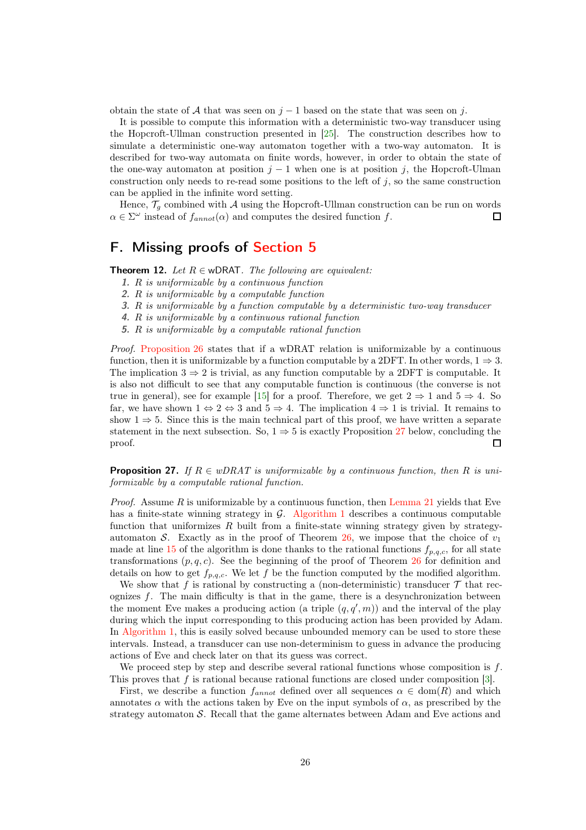obtain the state of A that was seen on  $j - 1$  based on the state that was seen on j.

It is possible to compute this information with a deterministic two-way transducer using the Hopcroft-Ullman construction presented in [\[25\]](#page-14-6). The construction describes how to simulate a deterministic one-way automaton together with a two-way automaton. It is described for two-way automata on finite words, however, in order to obtain the state of the one-way automaton at position  $j - 1$  when one is at position j, the Hopcroft-Ulman construction only needs to re-read some positions to the left of j, so the same construction can be applied in the infinite word setting.

Hence,  $\mathcal{T}_g$  combined with A using the Hopcroft-Ullman construction can be run on words  $\alpha \in \Sigma^{\omega}$  instead of  $f_{annot}(\alpha)$  and computes the desired function f. 口

# F. Missing proofs of [Section 5](#page-10-0)

**Theorem 12.** Let  $R \in \text{wDRAT}$ . The following are equivalent:

- 1. R is uniformizable by a continuous function
- 2. R is uniformizable by a computable function
- 3. R is uniformizable by a function computable by a deterministic two-way transducer
- 4. R is uniformizable by a continuous rational function
- 5. R is uniformizable by a computable rational function

Proof. [Proposition 26](#page-23-0) states that if a wDRAT relation is uniformizable by a continuous function, then it is uniformizable by a function computable by a 2DFT. In other words,  $1 \Rightarrow 3$ . The implication  $3 \Rightarrow 2$  is trivial, as any function computable by a 2DFT is computable. It is also not difficult to see that any computable function is continuous (the converse is not true in general), see for example [15] for a proof. Therefore, we get  $2 \Rightarrow 1$  and  $5 \Rightarrow 4$ . So far, we have shown  $1 \Leftrightarrow 2 \Leftrightarrow 3$  and  $5 \Rightarrow 4$ . The implication  $4 \Rightarrow 1$  is trivial. It remains to show  $1 \Rightarrow 5$ . Since this is the main technical part of this proof, we have written a separate statement in the next subsection. So,  $1 \Rightarrow 5$  is exactly Proposition [27](#page-25-0) below, concluding the proof. П

<span id="page-25-0"></span>**Proposition 27.** If  $R \in wDRAT$  is uniformizable by a continuous function, then R is uniformizable by a computable rational function.

*Proof.* Assume R is uniformizable by a continuous function, then [Lemma 21](#page-19-0) yields that Eve has a finite-state winning strategy in  $\mathcal{G}$ . [Algorithm 1](#page-18-1) describes a continuous computable function that uniformizes  $R$  built from a finite-state winning strategy given by strategy-automaton S. Exactly as in the proof of Theorem [26,](#page-23-0) we impose that the choice of  $v_1$ made at line [15](#page-18-4) of the algorithm is done thanks to the rational functions  $f_{p,q,c}$ , for all state transformations  $(p, q, c)$ . See the beginning of the proof of Theorem [26](#page-23-0) for definition and details on how to get  $f_{p,q,c}$ . We let f be the function computed by the modified algorithm.

We show that f is rational by constructing a (non-deterministic) transducer  $\mathcal T$  that recognizes  $f$ . The main difficulty is that in the game, there is a desynchronization between the moment Eve makes a producing action (a triple  $(q, q', m)$ ) and the interval of the play during which the input corresponding to this producing action has been provided by Adam. In [Algorithm 1,](#page-18-1) this is easily solved because unbounded memory can be used to store these intervals. Instead, a transducer can use non-determinism to guess in advance the producing actions of Eve and check later on that its guess was correct.

We proceed step by step and describe several rational functions whose composition is  $f$ . This proves that  $f$  is rational because rational functions are closed under composition [3].

First, we describe a function  $f_{annot}$  defined over all sequences  $\alpha \in \text{dom}(R)$  and which annotates  $\alpha$  with the actions taken by Eve on the input symbols of  $\alpha$ , as prescribed by the strategy automaton S. Recall that the game alternates between Adam and Eve actions and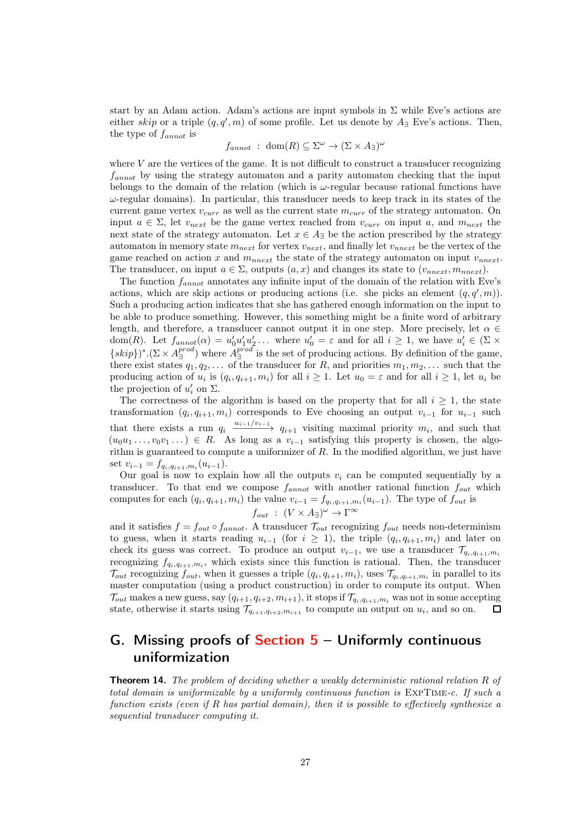start by an Adam action. Adam's actions are input symbols in  $\Sigma$  while Eve's actions are either skip or a triple  $(q, q', m)$  of some profile. Let us denote by  $A_{\exists}$  Eve's actions. Then, the type of  $f_{annot}$  is

$$
f_{annot} : dom(R) \subseteq \Sigma^{\omega} \to (\Sigma \times A_{\exists})^{\omega}
$$

where  $V$  are the vertices of the game. It is not difficult to construct a transducer recognizing  $f_{annot}$  by using the strategy automaton and a parity automaton checking that the input belongs to the domain of the relation (which is  $\omega$ -regular because rational functions have  $\omega$ -regular domains). In particular, this transducer needs to keep track in its states of the current game vertex  $v_{curr}$  as well as the current state  $m_{curr}$  of the strategy automaton. On input  $a \in \Sigma$ , let  $v_{next}$  be the game vertex reached from  $v_{curr}$  on input a, and  $m_{next}$  the next state of the strategy automaton. Let  $x \in A_{\exists}$  be the action prescribed by the strategy automaton in memory state  $m_{next}$  for vertex  $v_{next}$ , and finally let  $v_{next}$  be the vertex of the game reached on action x and  $m_{nnext}$  the state of the strategy automaton on input  $v_{nnext}$ . The transducer, on input  $a \in \Sigma$ , outputs  $(a, x)$  and changes its state to  $(v_{nnext}, m_{nnext})$ .

The function  $f_{annot}$  annotates any infinite input of the domain of the relation with Eve's actions, which are skip actions or producing actions (i.e. she picks an element  $(q, q', m)$ ). Such a producing action indicates that she has gathered enough information on the input to be able to produce something. However, this something might be a finite word of arbitrary length, and therefore, a transducer cannot output it in one step. More precisely, let  $\alpha \in$ dom(R). Let  $f_{annot}(\alpha) = u'_0u'_1u'_2\ldots$  where  $u'_0 = \varepsilon$  and for all  $i \geq 1$ , we have  $u'_i \in (\Sigma \times$  ${skip}$ )\*.( $\Sigma \times A_{\exists}^{prod}$ ) where  $A_{\exists}^{prod}$  is the set of producing actions. By definition of the game, there exist states  $q_1, q_2, \ldots$  of the transducer for R, and priorities  $m_1, m_2, \ldots$  such that the producing action of  $u_i$  is  $(q_i, q_{i+1}, m_i)$  for all  $i \geq 1$ . Let  $u_0 = \varepsilon$  and for all  $i \geq 1$ , let  $u_i$  be the projection of  $u'_i$  on  $\Sigma$ .

The correctness of the algorithm is based on the property that for all  $i \geq 1$ , the state transformation  $(q_i, q_{i+1}, m_i)$  corresponds to Eve choosing an output  $v_{i-1}$  for  $u_{i-1}$  such that there exists a run  $q_i \xrightarrow{u_{i-1}/v_{i-1}} q_{i+1}$  visiting maximal priority  $m_i$ , and such that  $(u_0u_1 \ldots, v_0v_1 \ldots) \in R$ . As long as a  $v_{i-1}$  satisfying this property is chosen, the algorithm is guaranteed to compute a uniformizer of R. In the modified algorithm, we just have set  $v_{i-1} = f_{q_i,q_{i+1},m_i}(u_{i-1}).$ 

Our goal is now to explain how all the outputs  $v_i$  can be computed sequentially by a transducer. To that end we compose  $f_{annot}$  with another rational function  $f_{out}$  which computes for each  $(q_i, q_{i+1}, m_i)$  the value  $v_{i-1} = f_{q_i, q_{i+1}, m_i}(u_{i-1})$ . The type of  $f_{out}$  is  $f_{out}$ :  $(V \times A_{\exists})^{\omega} \rightarrow \Gamma^{\infty}$ 

and it satisfies  $f = f_{out} \circ f_{annot}$ . A transducer  $\mathcal{T}_{out}$  recognizing  $f_{out}$  needs non-determinism to guess, when it starts reading  $u_{i-1}$  (for  $i \geq 1$ ), the triple  $(q_i, q_{i+1}, m_i)$  and later on check its guess was correct. To produce an output  $v_{i-1}$ , we use a transducer  $\mathcal{T}_{q_i,q_{i+1},m_i}$ recognizing  $f_{q_i,q_{i+1},m_i}$ , which exists since this function is rational. Then, the transducer  $\mathcal{T}_{out}$  recognizing  $f_{out}$ , when it guesses a triple  $(q_i, q_{i+1}, m_i)$ , uses  $\mathcal{T}_{q_i, q_{i+1}, m_i}$  in parallel to its master computation (using a product construction) in order to compute its output. When  $\mathcal{T}_{out}$  makes a new guess, say  $(q_{i+1}, q_{i+2}, m_{i+1})$ , it stops if  $\mathcal{T}_{q_i,q_{i+1},m_i}$  was not in some accepting state, otherwise it starts using  $\mathcal{T}_{q_{i+1},q_{i+2},m_{i+1}}$  to compute an output on  $u_i$ , and so on.  $\Box$ 

# G. Missing proofs of Section  $5 -$  Uniformly continuous uniformization

**Theorem 14.** The problem of deciding whether a weakly deterministic rational relation R of total domain is uniformizable by a uniformly continuous function is ExpTime-c. If such a function exists (even if R has partial domain), then it is possible to effectively synthesize a sequential transducer computing it.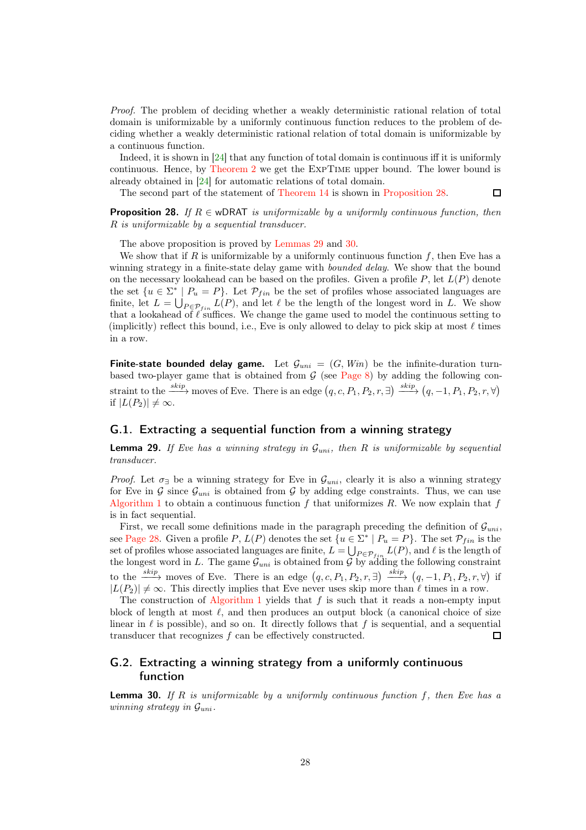Proof. The problem of deciding whether a weakly deterministic rational relation of total domain is uniformizable by a uniformly continuous function reduces to the problem of deciding whether a weakly deterministic rational relation of total domain is uniformizable by a continuous function.

Indeed, it is shown in [\[24\]](#page-13-1) that any function of total domain is continuous iff it is uniformly continuous. Hence, by [Theorem 2](#page-2-0) we get the ExpTime upper bound. The lower bound is already obtained in [\[24\]](#page-13-1) for automatic relations of total domain.

 $\Box$ 

<span id="page-27-0"></span>The second part of the statement of [Theorem 14](#page-11-1) is shown in [Proposition 28.](#page-27-0)

**Proposition 28.** If  $R \in \text{wDRAT}$  is uniformizable by a uniformly continuous function, then R is uniformizable by a sequential transducer.

The above proposition is proved by [Lemmas 29](#page-27-1) and [30.](#page-27-2)

We show that if R is uniformizable by a uniformly continuous function  $f$ , then Eve has a winning strategy in a finite-state delay game with *bounded delay*. We show that the bound on the necessary lookahead can be based on the profiles. Given a profile  $P$ , let  $L(P)$  denote the set  $\{u \in \Sigma^* \mid P_u = P\}$ . Let  $\mathcal{P}_{fin}$  be the set of profiles whose associated languages are finite, let  $L = \bigcup_{P \in \mathcal{P}_{fin}} L(P)$ , and let  $\ell$  be the length of the longest word in L. We show that a lookahead of  $\ell$  suffices. We change the game used to model the continuous setting to (implicitly) reflect this bound, i.e., Eve is only allowed to delay to pick skip at most  $\ell$  times in a row.

<span id="page-27-3"></span>**Finite-state bounded delay game.** Let  $\mathcal{G}_{uni} = (G, Win)$  be the infinite-duration turnbased two-player game that is obtained from  $G$  (see [Page 8\)](#page-7-0) by adding the following constraint to the  $\xrightarrow{skip}$  moves of Eve. There is an edge  $(q, c, P_1, P_2, r, \exists) \xrightarrow{skip} (q, -1, P_1, P_2, r, \forall)$ if  $|L(P_2)| \neq \infty$ .

### <span id="page-27-1"></span>G.1. Extracting a sequential function from a winning strategy

**Lemma 29.** If Eve has a winning strategy in  $\mathcal{G}_{uni}$ , then R is uniformizable by sequential transducer.

*Proof.* Let  $\sigma_{\exists}$  be a winning strategy for Eve in  $\mathcal{G}_{uni}$ , clearly it is also a winning strategy for Eve in G since  $\mathcal{G}_{uni}$  is obtained from G by adding edge constraints. Thus, we can use [Algorithm 1](#page-18-1) to obtain a continuous function f that uniformizes R. We now explain that f is in fact sequential.

First, we recall some definitions made in the paragraph preceding the definition of  $\mathcal{G}_{uni}$ , see [Page 28.](#page-27-3) Given a profile P,  $L(P)$  denotes the set  $\{u \in \Sigma^* \mid P_u = P\}$ . The set  $\mathcal{P}_{fin}$  is the set of profiles whose associated languages are finite,  $L = \bigcup_{P \in \mathcal{P}_{fin}} L(P)$ , and  $\ell$  is the length of the longest word in L. The game  $\mathcal{G}_{uni}$  is obtained from G by adding the following constraint to the  $\xrightarrow{skip}$  moves of Eve. There is an edge  $(q, c, P_1, P_2, r, \exists) \xrightarrow{skip} (q, -1, P_1, P_2, r, \forall)$  if  $|L(P_2)| \neq \infty$ . This directly implies that Eve never uses skip more than  $\ell$  times in a row.

The construction of [Algorithm 1](#page-18-1) yields that f is such that it reads a non-empty input block of length at most  $\ell$ , and then produces an output block (a canonical choice of size linear in  $\ell$  is possible), and so on. It directly follows that f is sequential, and a sequential transducer that recognizes  $f$  can be effectively constructed.  $\Box$ 

### G.2. Extracting a winning strategy from a uniformly continuous function

<span id="page-27-2"></span>**Lemma 30.** If R is uniformizable by a uniformly continuous function  $f$ , then Eve has a winning strategy in  $\mathcal{G}_{uni}$ .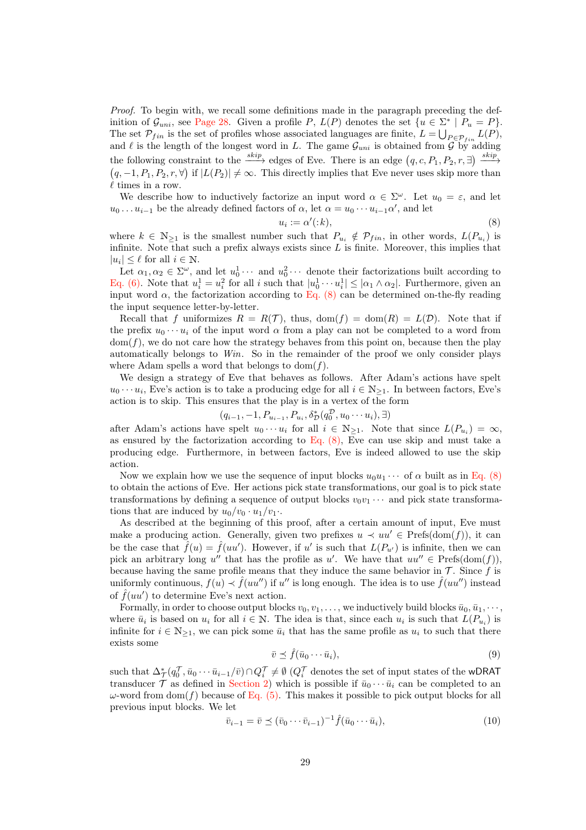Proof. To begin with, we recall some definitions made in the paragraph preceding the definition of  $\mathcal{G}_{uni}$ , see [Page 28.](#page-27-3) Given a profile P,  $L(P)$  denotes the set  $\{u \in \Sigma^* \mid P_u = P\}.$ The set  $\mathcal{P}_{fin}$  is the set of profiles whose associated languages are finite,  $L = \bigcup_{P \in \mathcal{P}_{fin}} L(P)$ , and  $\ell$  is the length of the longest word in L. The game  $\mathcal{G}_{uni}$  is obtained from  $\mathcal G$  by adding the following constraint to the  $\xrightarrow{skip}$  edges of Eve. There is an edge  $(q, c, P_1, P_2, r, \exists) \xrightarrow{skip}$  $(q, -1, P_1, P_2, r, \forall)$  if  $|L(P_2)| \neq \infty$ . This directly implies that Eve never uses skip more than  $\ell$  times in a row.

We describe how to inductively factorize an input word  $\alpha \in \Sigma^{\omega}$ . Let  $u_0 = \varepsilon$ , and let  $u_0 \dots u_{i-1}$  be the already defined factors of  $\alpha$ , let  $\alpha = u_0 \cdots u_{i-1} \alpha'$ , and let

<span id="page-28-0"></span>
$$
u_i := \alpha'(:,k),\tag{8}
$$

where  $k \in \mathbb{N}_{\geq 1}$  is the smallest number such that  $P_{u_i} \notin \mathcal{P}_{fin}$ , in other words,  $L(P_{u_i})$  is infinite. Note that such a prefix always exists since  $L$  is finite. Moreover, this implies that  $|u_i| \leq \ell$  for all  $i \in \mathbb{N}$ .

Let  $\alpha_1, \alpha_2 \in \Sigma^{\omega}$ , and let  $u_0^1 \cdots$  and  $u_0^2 \cdots$  denote their factorizations built according to [Eq. \(6\).](#page-20-0) Note that  $u_i^1 = u_i^2$  for all i such that  $|u_0^1 \cdots u_i^1| \leq |\alpha_1 \wedge \alpha_2|$ . Furthermore, given an input word  $\alpha$ , the factorization according to [Eq. \(8\)](#page-28-0) can be determined on-the-fly reading the input sequence letter-by-letter.

Recall that f uniformizes  $R = R(\mathcal{T})$ , thus,  $dom(f) = dom(R) = L(\mathcal{D})$ . Note that if the prefix  $u_0 \cdots u_i$  of the input word  $\alpha$  from a play can not be completed to a word from  $dom(f)$ , we do not care how the strategy behaves from this point on, because then the play automatically belongs to Win. So in the remainder of the proof we only consider plays where Adam spells a word that belongs to  $dom(f)$ .

We design a strategy of Eve that behaves as follows. After Adam's actions have spelt  $u_0 \cdots u_i$ , Eve's action is to take a producing edge for all  $i \in \mathbb{N}_{\geq 1}$ . In between factors, Eve's action is to skip. This ensures that the play is in a vertex of the form

$$
(q_{i-1}, -1, P_{u_{i-1}}, P_{u_i}, \delta_{\mathcal{D}}^*(q_0^{\mathcal{D}}, u_0 \cdots u_i), \exists)
$$

after Adam's actions have spelt  $u_0 \cdots u_i$  for all  $i \in \mathbb{N}_{\geq 1}$ . Note that since  $L(P_{u_i}) = \infty$ , as ensured by the factorization according to Eq.  $(8)$ , Eve can use skip and must take a producing edge. Furthermore, in between factors, Eve is indeed allowed to use the skip action.

Now we explain how we use the sequence of input blocks  $u_0u_1 \cdots$  of  $\alpha$  built as in [Eq. \(8\)](#page-28-0) to obtain the actions of Eve. Her actions pick state transformations, our goal is to pick state transformations by defining a sequence of output blocks  $v_0v_1 \cdots$  and pick state transformations that are induced by  $u_0/v_0 \cdot u_1/v_1$ .

As described at the beginning of this proof, after a certain amount of input, Eve must make a producing action. Generally, given two prefixes  $u \prec uu' \in \text{Prefs}(\text{dom}(f))$ , it can be the case that  $\hat{f}(u) = \hat{f}(uu')$ . However, if u' is such that  $L(P_{u'})$  is infinite, then we can pick an arbitrary long u'' that has the profile as u'. We have that  $uu'' \in \text{Prefs}(\text{dom}(f)),$ because having the same profile means that they induce the same behavior in  $\mathcal T$ . Since f is uniformly continuous,  $f(u) \prec \hat{f}(uu'')$  if  $u''$  is long enough. The idea is to use  $\hat{f}(uu'')$  instead of  $\hat{f}(uu')$  to determine Eve's next action.

Formally, in order to choose output blocks  $v_0, v_1, \ldots$ , we inductively build blocks  $\bar{u}_0, \bar{u}_1, \cdots$ , where  $\bar{u}_i$  is based on  $u_i$  for all  $i \in \mathbb{N}$ . The idea is that, since each  $u_i$  is such that  $L(P_{u_i})$  is infinite for  $i \in \mathbb{N}_{\geq 1}$ , we can pick some  $\bar{u}_i$  that has the same profile as  $u_i$  to such that there exists some

<span id="page-28-1"></span>
$$
\bar{v} \preceq \hat{f}(\bar{u}_0 \cdots \bar{u}_i),\tag{9}
$$

such that  $\Delta^*_{\mathcal{T}}(q_0^{\mathcal{T}}, \bar{u}_0 \cdots \bar{u}_{i-1}/\bar{v}) \cap Q_i^{\mathcal{T}} \neq \emptyset$  ( $Q_i^{\mathcal{T}}$  denotes the set of input states of the wDRAT transducer  $\mathcal T$  as defined in [Section 2\)](#page-4-0) which is possible if  $\bar{u}_0 \cdots \bar{u}_i$  can be completed to an ω-word from dom(f) because of [Eq. \(5\).](#page-15-3) This makes it possible to pick output blocks for all previous input blocks. We let

<span id="page-28-2"></span>
$$
\overline{v}_{i-1} = \overline{v} \preceq (\overline{v}_0 \cdots \overline{v}_{i-1})^{-1} \hat{f}(\overline{u}_0 \cdots \overline{u}_i), \tag{10}
$$